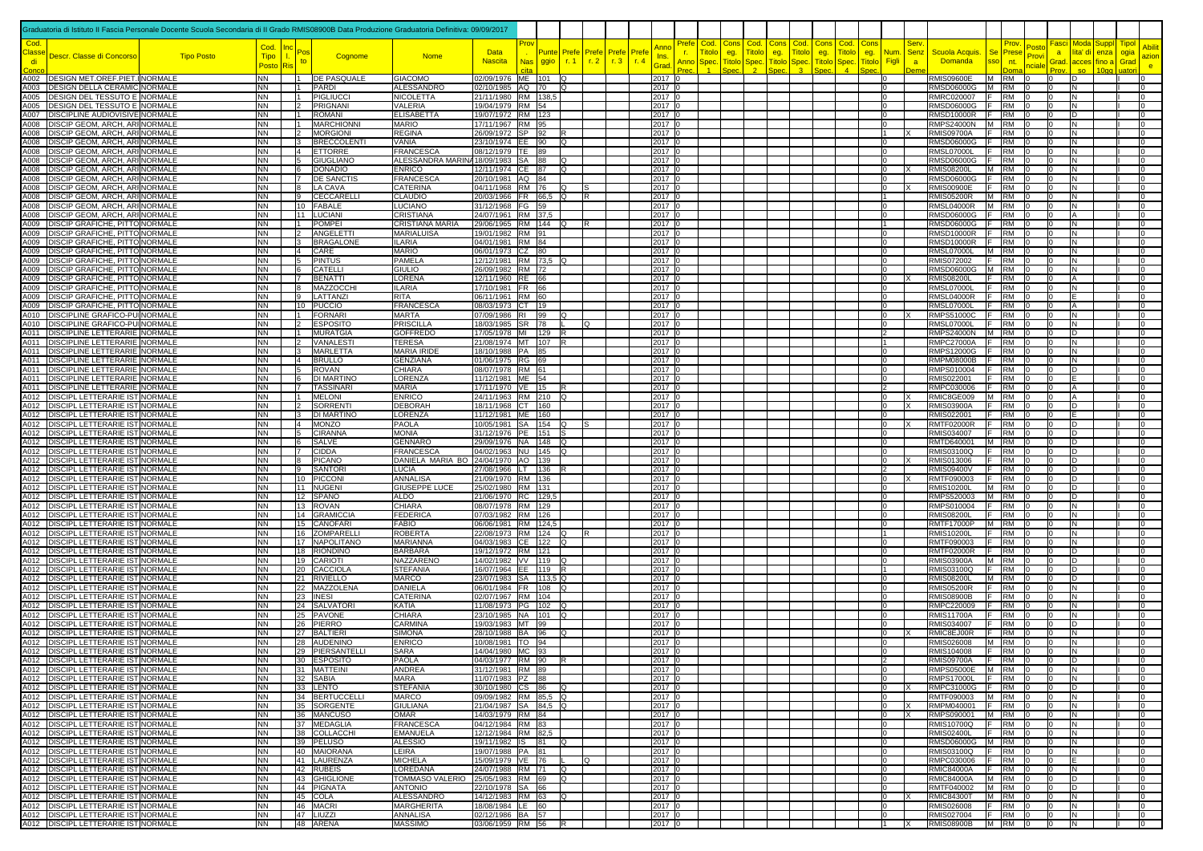|             | Graduatoria di Istituto II Fascia Personale Docente Scuola Secondaria di II Grado RMIS08900B Data Produzione Graduatoria Definitiva: 09/09/2017 |                   |                                     |                                           |                                      |                                                     |                                              |    |                      |              |                         |              |                             |                             |                                                    |                            |                      |                                                              |                                           |                                      |                                        |                                          |                                                            |                                                     |                       |                      |
|-------------|-------------------------------------------------------------------------------------------------------------------------------------------------|-------------------|-------------------------------------|-------------------------------------------|--------------------------------------|-----------------------------------------------------|----------------------------------------------|----|----------------------|--------------|-------------------------|--------------|-----------------------------|-----------------------------|----------------------------------------------------|----------------------------|----------------------|--------------------------------------------------------------|-------------------------------------------|--------------------------------------|----------------------------------------|------------------------------------------|------------------------------------------------------------|-----------------------------------------------------|-----------------------|----------------------|
| :lass<br>di | Descr. Classe di Concorso                                                                                                                       | <b>Tipo Posto</b> | Cod.<br><b>Tipo</b><br><b>Postc</b> |                                           | Cognome                              | <b>Nome</b>                                         | <b>Data</b><br><b>Nascita</b>                | Nа | <b>Punte</b><br>ggio | Prefe<br>r.1 | Prefe<br>r <sub>2</sub> | Prefe<br>r.3 | Pref<br>Ins.<br>r.4<br>Grad | Cod<br>itol<br>Anno<br>Sper | Con<br>Cod<br>eg.<br>ïtol<br><b>Titolo</b><br>Sper | Con:<br>eg.<br><b>itol</b> | Cod.<br>ïtol<br>Sper | Con:<br>Cod<br><b>Titolo</b><br>eg.<br><b>Fitolc</b><br>Spec | <u>Num</u><br>eg.<br><b>Titol</b><br>Figl | Ser<br><b>Senz</b><br>$\overline{a}$ | Scuola Acquis.<br><b>Domanda</b>       | Prov<br><b>Se</b><br>Prese<br>sso<br>nt. | Fasci<br>'osto<br>a<br><sup>2</sup> rov<br>Grad.<br>hciale | Moda<br>Supp<br>lita' di<br>enza<br>acces<br>fino a | Tipol<br>ogia<br>Grad | azion<br>e.          |
|             | A002 DESIGN MET.OREF.PIET.INORMALE                                                                                                              |                   | <b>NN</b>                           | $\mathbf{11}$                             | DE PASQUALE                          | <b>GIACOMO</b>                                      | 02/09/1976 ME 101 Q                          |    |                      |              |                         |              | $2017$ 0                    |                             |                                                    |                            |                      |                                                              | l0                                        |                                      | <b>RMIS09600E</b>                      | M RM                                     | I0                                                         | D                                                   |                       | lo                   |
|             | A003 DESIGN DELLA CERAMIC NORMALE                                                                                                               |                   | <b>NN</b><br><b>NN</b>              |                                           | 1 PARDI<br>1 PIGLIUCC                | ALESSANDRO                                          | 02/10/1985 AQ 70<br>21/11/1980 RM 138.5      |    | lQ                   |              |                         |              | 2017 0                      |                             |                                                    |                            |                      |                                                              | 10                                        |                                      | RMSD06000G M RM                        |                                          | I0                                                         | N                                                   |                       | 10<br>lo             |
|             | A005   DESIGN DEL TESSUTO E NORMALE<br>A005 DESIGN DEL TESSUTO E NORMALE                                                                        |                   | <b>NN</b>                           | $\overline{2}$                            | PRIGNANI                             | <b>NICOLETTA</b><br>VALERIA                         | 19/04/1979 RM 54                             |    |                      |              |                         |              | 2017 0<br>2017 0            |                             |                                                    |                            |                      |                                                              | 0<br>l O                                  |                                      | RMRC020007   F   RM<br>RMSD06000G F    | <b>RM</b>                                | lo                                                         | N<br>N                                              |                       | l0                   |
|             | A007 DISCIPLINE AUDIOVISIVE NORMALE                                                                                                             |                   | <b>NN</b>                           | $\mathbf{11}$                             | <b>ROMANI</b>                        | <b>ELISABETTA</b>                                   | 19/07/1972 RM 123                            |    |                      |              |                         |              | 2017 0                      |                             |                                                    |                            |                      |                                                              | $\Omega$                                  |                                      | RMSD10000R F                           | RM                                       | I٥                                                         | D                                                   |                       | I٥                   |
|             | A008 DISCIP GEOM, ARCH, ARI NORMALE<br>A008 DISCIP GEOM, ARCH, ARI NORMALE                                                                      |                   | <b>NN</b><br><b>NN</b>              | $\overline{11}$<br>$\overline{2}$         | <b>MARCHIONNI</b><br><b>MORGIONI</b> | <b>MARIO</b><br><b>REGINA</b>                       | 17/11/1967 RM 95<br>26/09/1972 SP 92         |    | lR.                  |              |                         |              | 2017 0<br>2017 0            |                             |                                                    |                            |                      |                                                              | lo.<br>11                                 |                                      | RMPS24000N M RM<br><b>RMIS09700A</b>   | IF.<br><b>RM</b>                         | I٥<br>lo                                                   | IN.<br>IN.                                          | In.                   | lo                   |
|             | A008 DISCIP GEOM, ARCH, ARI NORMALE                                                                                                             |                   | <b>NN</b>                           | $\overline{3}$                            | <b>BRECCOLENTI</b>                   | VANIA                                               | 23/10/1974 EE 90                             |    | lo.                  |              |                         |              | 2017 C                      |                             |                                                    |                            |                      |                                                              | $\Omega$                                  |                                      | <b>RMSD06000G</b>                      | F<br><b>RM</b>                           | l0                                                         | N                                                   |                       |                      |
|             | A008   DISCIP GEOM, ARCH, ARI NORMALE                                                                                                           |                   | <b>NN</b>                           | $\vert$ 4                                 | <b>ETTORRE</b>                       | FRANCESCA                                           | 08/12/1979 TE 89                             |    |                      |              |                         |              | 2017 0                      |                             |                                                    |                            |                      |                                                              | $\Omega$                                  |                                      | <b>RMSL07000L</b>                      | F.<br><b>RM</b>                          | l n                                                        | N                                                   |                       | I٥                   |
|             | A008 DISCIP GEOM, ARCH, ARI NORMALE<br>A008 DISCIP GEOM, ARCH, ARI NORMALE                                                                      |                   | <b>NN</b><br>INN.                   | $5^{\circ}$<br>16.                        | GIUGLIANO<br>DONADIO                 | ALESSANDRA MARINA 18/09/1983 SA 88<br><b>ENRICO</b> | 12/11/1974 CE 87                             |    | lQ.<br>IQ            |              |                         |              | 2017 0<br>2017 0            |                             |                                                    |                            |                      |                                                              | 0<br>10                                   |                                      | RMSD06000G<br><b>RMIS08200L</b>        | F RM<br>M RM                             | m                                                          | N<br>N.                                             |                       | 10                   |
|             | A008 DISCIP GEOM, ARCH, ARI NORMALE                                                                                                             |                   | <b>NN</b>                           |                                           | 7 DE SANCTIS                         | <b>FRANCESCA</b>                                    | 20/10/1981 AQ 84                             |    |                      |              |                         |              | 2017 0                      |                             |                                                    |                            |                      |                                                              | 0                                         |                                      | RMSD06000G F RM                        |                                          |                                                            | N                                                   |                       | 10                   |
|             | A008   DISCIP GEOM, ARCH, ARI NORMALE<br>A008   DISCIP GEOM, ARCH, ARI NORMALE                                                                  |                   | <b>NN</b><br><b>NN</b>              | 9                                         | 8 LA CAVA<br><b>CECCARELLI</b>       | <b>CATERINA</b><br><b>CLAUDIO</b>                   | 04/11/1968 RM 76<br>20/03/1966 FR 66.5 Q     |    | lO.                  |              | IS<br>R                 |              | 2017 0<br>2017 0            |                             |                                                    |                            |                      |                                                              | l O<br>$\overline{1}$                     |                                      | <b>RMIS00900E</b><br><b>RMIS05200R</b> | IF.<br><b>RM</b><br>M RM                 |                                                            | N<br>N.                                             |                       | l0<br>I٥             |
|             | A008 DISCIP GEOM, ARCH, ARI NORMALE                                                                                                             |                   | <b>NN</b>                           |                                           | 10 FABALE                            | <b>LUCIANO</b>                                      | 31/12/1968 FG 59                             |    |                      |              |                         |              | 2017 0                      |                             |                                                    |                            |                      |                                                              | lo.                                       |                                      | <b>RMSL04000R</b>                      | M RM                                     | I٥                                                         | N                                                   |                       | lo                   |
|             | A008 DISCIP GEOM, ARCH, ARI NORMALE                                                                                                             |                   | <b>NN</b>                           | 11                                        | <b>LUCIANI</b>                       | CRISTIANA                                           | 24/07/1961 RM 37,5                           |    |                      |              |                         |              | 2017 0                      |                             |                                                    |                            |                      |                                                              | $\mathbf 0$                               |                                      | <b>RMSD06000G</b>                      | IF.<br><b>RM</b>                         |                                                            | A                                                   |                       |                      |
|             | A009 DISCIP GRAFICHE, PITTO NORMALE<br>A009 DISCIP GRAFICHE, PITTO NORMALE                                                                      |                   | <b>NN</b><br>NN                     | 11<br>$\overline{2}$                      | <b>POMPEI</b><br><b>ANGELETTI</b>    | CRISTIANA MARIA<br><b>MARIALUISA</b>                | 29/06/1965 RM 144<br>19/01/1982 RM 91        |    | lO.                  |              | R                       |              | 2017 0<br>2017 0            |                             |                                                    |                            |                      |                                                              | $\Omega$                                  |                                      | <b>RMSD06000G</b><br><b>RMSD10000R</b> | IF.<br>RM<br>IF.<br><b>RM</b>            |                                                            | N<br>N                                              |                       |                      |
|             | A009 DISCIP GRAFICHE, PITTO NORMALE                                                                                                             |                   | <b>NN</b>                           | $\mathbf{3}$                              | <b>BRAGALONE</b>                     | <b>ILARIA</b>                                       | 04/01/1981 RM 84                             |    |                      |              |                         |              | 2017 0                      |                             |                                                    |                            |                      |                                                              | 10                                        |                                      | <b>RMSD10000R</b>                      | <b>RM</b><br>- IE -                      |                                                            | N                                                   |                       | 10                   |
|             | A009 DISCIP GRAFICHE, PITTO NORMALE<br>A009 DISCIP GRAFICHE, PITTO NORMALE                                                                      |                   | <b>NN</b><br><b>NN</b>              | $\overline{4}$<br>5                       | CARE<br><b>PINTUS</b>                | <b>MARIO</b><br>PAMELA                              | 06/01/1973 CZ 80<br>12/12/1981 RM 73,5 Q     |    |                      |              |                         |              | 2017 0<br>2017 0            |                             |                                                    |                            |                      |                                                              | $\mathbf{O}$<br>l O                       |                                      | <b>RMSL07000L</b><br><b>RMIS072002</b> | M RM<br>IF.<br><b>RM</b>                 | lo                                                         | N                                                   |                       | IО<br>lo             |
|             | A009 DISCIP GRAFICHE, PITTO NORMALE                                                                                                             |                   | <b>NN</b>                           | 6                                         | CATELLI                              | <b>GIULIO</b>                                       | 26/09/1982 RM 72                             |    |                      |              |                         |              | 2017 0                      |                             |                                                    |                            |                      |                                                              | l0                                        |                                      | RMSD06000G M RM                        |                                          |                                                            | N<br>N                                              |                       | l0                   |
|             | A009   DISCIP GRAFICHE, PITTO NORMALE                                                                                                           |                   | <b>NN</b>                           | $\overline{7}$                            | <b>BENATTI</b>                       | LORENA                                              | 12/11/1960 RE 66                             |    |                      |              |                         |              | 2017 0                      |                             |                                                    |                            |                      |                                                              | lo.                                       |                                      | <b>RMIS08200L</b>                      | F RM                                     | I٥                                                         | A                                                   |                       | lo                   |
|             | A009   DISCIP GRAFICHE, PITTO NORMALE<br>A009 DISCIP GRAFICHE, PITTO NORMALE                                                                    |                   | <b>NN</b><br><b>NN</b>              | 8<br>9                                    | MAZZOCCHI<br>LATTANZI                | <b>ILARIA</b><br><b>RITA</b>                        | 17/10/1981 FR 66<br>06/11/1961 RM 60         |    |                      |              |                         |              | 2017 0<br>2017 0            |                             |                                                    |                            |                      |                                                              | $\Omega$<br>l0                            |                                      | <b>RMSL07000L</b><br><b>RMSL04000R</b> | F<br>RM<br>-lF -<br><b>RM</b>            | I٥<br>I0                                                   | N<br>F.                                             |                       | lo<br>lo             |
|             | A009 DISCIP GRAFICHE, PITTO NORMALE                                                                                                             |                   | <b>NN</b>                           |                                           | 10 PUCCIO                            | <b>FRANCESCA</b>                                    | 08/03/1973 CT 19                             |    |                      |              |                         |              | 2017 0                      |                             |                                                    |                            |                      |                                                              | 0                                         |                                      | <b>RMSL07000L</b>                      | <b>RM</b><br>IF.                         |                                                            | А                                                   |                       | IО                   |
|             | A010 DISCIPLINE GRAFICO-PUI NORMALE<br>A010 DISCIPLINE GRAFICO-PUINORMALE                                                                       |                   | <b>NN</b><br><b>NN</b>              | $\overline{2}$                            | 1 FORNARI<br><b>ESPOSITO</b>         | <b>MARTA</b><br>PRISCILLA                           | 07/09/1986 RI 99<br>18/03/1985 SR 78         |    | O                    |              | IO                      |              | 2017 0<br>2017 C            |                             |                                                    |                            |                      |                                                              | 0<br>10                                   |                                      | <b>RMPS51000C</b><br><b>RMSL07000L</b> | F RM<br>F RM                             | I۵                                                         | N<br>N                                              |                       | lo<br>10             |
|             | A011 DISCIPLINE LETTERARIE NORMALE                                                                                                              |                   | <b>NN</b>                           | $\mathbf{11}$                             | <b>MURATGIA</b>                      | <b>GOFFREDC</b>                                     | 17/05/1978 MI 129                            |    |                      |              |                         |              | 2017 0                      |                             |                                                    |                            |                      |                                                              | $\overline{2}$                            |                                      | RMPS24000N M RM                        |                                          |                                                            | D                                                   |                       | lo                   |
|             | A011 DISCIPLINE LETTERARIE NORMALE                                                                                                              |                   | <b>NN</b>                           | $\overline{2}$                            | <b>VANALESTI</b>                     | <b>TERESA</b>                                       | 21/08/1974 MT 107                            |    |                      |              |                         |              | 2017 C                      |                             |                                                    |                            |                      |                                                              | $\overline{1}$                            |                                      | <b>RMPC27000A</b>                      | IF.<br>RM                                |                                                            | N.                                                  |                       | I٥                   |
|             | A011 DISCIPLINE LETTERARIE NORMALE<br>A011   DISCIPLINE LETTERARIE NORMALE                                                                      |                   | <b>NN</b><br><b>NN</b>              | $\overline{\mathbf{3}}$<br>$\overline{4}$ | <b>MARLETTA</b><br><b>BRULLO</b>     | <b>MARIA IRIDE</b><br><b>GENZIANA</b>               | 18/10/1988 PA 85<br>01/06/1975 RG 69         |    |                      |              |                         |              | 2017 0<br>2017 0            |                             |                                                    |                            |                      |                                                              | lo.<br>$\Omega$                           |                                      | <b>RMPS12000G</b><br><b>RMPM08000B</b> | - F<br>RM<br>- F<br><b>RM</b>            | I٥                                                         | N.<br>N                                             | In.                   |                      |
|             | A011 DISCIPLINE LETTERARIE NORMALE                                                                                                              |                   | <b>NN</b>                           | 5                                         | <b>ROVAN</b>                         | <b>CHIARA</b>                                       | 08/07/1978 RM 61                             |    |                      |              |                         |              | 2017 0                      |                             |                                                    |                            |                      |                                                              | l0                                        |                                      | RMPS010004                             | - IF<br><b>RM</b>                        | I0                                                         | D                                                   |                       | lo                   |
|             | A011 DISCIPLINE LETTERARIE NORMALE<br>A011 DISCIPLINE LETTERARIE NORMALE                                                                        |                   | <b>NN</b><br><b>NN</b>              | $\overline{6}$                            | DI MARTINO<br>7 TASSINARI            | LORENZ/<br><b>MARIA</b>                             | 11/12/1981 ME 54<br>17/11/1970 VE 15         |    |                      |              |                         |              | 2017 0<br>2017 0            |                             |                                                    |                            |                      |                                                              | $\Omega$<br>2                             |                                      | RMIS022001<br>RMPC030006               | IF.<br><b>RM</b><br>F RM                 | ıη                                                         |                                                     |                       | l0<br>l0             |
|             | A012   DISCIPL LETTERARIE IST NORMALE                                                                                                           |                   | INN.                                |                                           | 1 MELONI                             | <b>ENRICO</b>                                       | 24/11/1963 RM 210                            |    | lO.                  |              |                         |              | 2017 0                      |                             |                                                    |                            |                      |                                                              | 10                                        |                                      | RMIC8GE009                             | M RM                                     | IΩ                                                         | А                                                   |                       | 10                   |
|             | A012   DISCIPL LETTERARIE IST NORMALE                                                                                                           |                   | <b>NN</b>                           | $\vert$ 2                                 | SORRENTI                             | <b>DEBORAH</b>                                      | 18/11/1968 CT 160                            |    |                      |              |                         |              | 2017 0                      |                             |                                                    |                            |                      |                                                              | l O                                       |                                      | <b>RMIS03900A</b>                      | F RM                                     | lo                                                         | D                                                   |                       | lo                   |
|             | A012   DISCIPL LETTERARIE IST NORMALE<br>A012 DISCIPL LETTERARIE IST NORMALE                                                                    |                   | <b>NN</b><br><b>NN</b>              | $\vert$ 3<br>$\overline{4}$               | <b>DI MARTINO</b><br><b>MONZO</b>    | LORENZA<br><b>PAOLA</b>                             | 11/12/1981 ME 160<br>10/05/1981 SA 154 Q     |    |                      |              | S.                      |              | 2017 0<br>2017 0            |                             |                                                    |                            |                      |                                                              | l0<br>lo                                  |                                      | RMIS022001<br><b>RMTF02000R</b>        | F.<br><b>RM</b><br>IF.<br><b>RM</b>      |                                                            | D                                                   | In.                   | I٥                   |
|             | A012 DISCIPL LETTERARIE IST NORMALE                                                                                                             |                   | <b>NN</b>                           | $\sqrt{2}$                                | <b>CIRANNA</b>                       | <b>MONIA</b>                                        | 31/12/1976 PE 151                            |    |                      |              |                         |              | 2017 0                      |                             |                                                    |                            |                      |                                                              | $\Omega$                                  |                                      | RMIS034007                             | IF.<br><b>RM</b>                         |                                                            | D                                                   |                       |                      |
|             | A012   DISCIPL LETTERARIE IST NORMALE<br>A012 DISCIPL LETTERARIE IST NORMALE                                                                    |                   | <b>NN</b><br><b>NN</b>              | 6                                         | <b>SALVE</b><br>CIDDA                | <b>GENNARO</b><br><b>FRANCESCA</b>                  | 29/09/1976 NA 148 Q<br>04/02/1963 NU 145     |    | IQ                   |              |                         |              | 2017 0<br>2017 0            |                             |                                                    |                            |                      |                                                              | l0<br>$\Omega$                            |                                      | RMTD640001<br>RMIS03100Q               | M RM<br>F.<br><b>RM</b>                  | I0                                                         | D<br>D                                              |                       | I٥                   |
|             | A012 DISCIPL LETTERARIE IST NORMALE                                                                                                             |                   | <b>NN</b>                           | 8                                         | <b>PICANO</b>                        | DANIELA MARIA BO 24/04/1970 AO 139                  |                                              |    |                      |              |                         |              | 2017 0                      |                             |                                                    |                            |                      |                                                              | 0                                         | IΧ                                   | RMIS013006                             | IF.<br><b>RM</b>                         | I۵                                                         | D                                                   |                       | l0                   |
|             | A012   DISCIPL LETTERARIE IST NORMALE                                                                                                           |                   | <b>NN</b>                           | 9                                         | <b>SANTOR</b>                        | <b>LUCIA</b>                                        | 27/08/1966 LT 136                            |    |                      |              |                         |              | 2017 0                      |                             |                                                    |                            |                      |                                                              | 12                                        |                                      | <b>RMIS09400V</b>                      | <b>RM</b><br>IF.                         |                                                            | D                                                   |                       | ю                    |
|             | A012   DISCIPL LETTERARIE IST NORMALE<br>A012   DISCIPL LETTERARIE IST NORMALE                                                                  |                   | <b>NN</b><br><b>NN</b>              |                                           | 10 PICCON<br>11 NUGENI               | <b>ANNALISA</b><br><b>GIUSEPPE LUCE</b>             | 21/09/1970 RM 136<br>25/02/1980 RM 131       |    |                      |              |                         |              | 2017 0<br>2017 0            |                             |                                                    |                            |                      |                                                              | 0<br>0                                    |                                      | RMTF090003<br><b>RMIS10200L</b>        | <b>RM</b><br>IF.<br>M RM                 | IΩ<br>lo                                                   | D<br>D                                              |                       | lo<br>l0             |
|             | A012   DISCIPL LETTERARIE IST NORMALE                                                                                                           |                   | <b>NN</b>                           |                                           | 12 SPANO                             | <b>ALDO</b>                                         | 21/06/1970 RC 129,5                          |    |                      |              |                         |              | 2017 0                      |                             |                                                    |                            |                      |                                                              | l0                                        |                                      | RMPS520003                             | M RM                                     | I٥                                                         | D                                                   |                       | lo                   |
|             | A012 DISCIPL LETTERARIE IST NORMALE<br>A012   DISCIPL LETTERARIE IST NORMALE                                                                    |                   | <b>NN</b><br><b>NN</b>              |                                           | 13 ROVAN<br>14 GRAMICCIA             | CHIARA<br><b>FEDERICA</b>                           | 08/07/1978 RM 129<br>07/03/1982 RM 126       |    |                      |              |                         |              | 2017 0<br>2017 0            |                             |                                                    |                            |                      |                                                              | lo.<br>0                                  |                                      | RMPS010004<br><b>RMIS08200L</b>        | E<br><b>RM</b><br>IF.<br><b>RM</b>       | I٥<br>lo                                                   | N<br>N                                              |                       | lo<br>$\circ$        |
|             | A012 DISCIPL LETTERARIE IST NORMALE                                                                                                             |                   | <b>NN</b>                           | 15                                        | <b>CANOFARI</b>                      | <b>FABIO</b>                                        | 06/06/1981 RM 124,5                          |    |                      |              |                         |              | 2017 0                      |                             |                                                    |                            |                      |                                                              | 0                                         |                                      | <b>RMTF17000P</b>                      | M<br><b>RM</b>                           | I0                                                         | N                                                   |                       |                      |
|             | A012   DISCIPL LETTERARIE IST NORMALE<br>A012   DISCIPL LETTERARIE IST NORMALE                                                                  |                   | <b>NN</b><br><b>NN</b>              |                                           | 16 ZOMPARELLI<br>17 NAPOLITANO       | <b>ROBERTA</b><br><b>MARIANNA</b>                   | 22/08/1973 RM 124 Q<br>04/03/1983 CE 122 Q   |    |                      |              | R                       |              | 2017 0<br>2017 0            |                             |                                                    |                            |                      |                                                              | 0                                         |                                      | <b>RMIS10200L</b><br>RMTF090003        | IF.<br><b>RM</b><br>IF.<br><b>RM</b>     | l0                                                         | N<br>N                                              |                       | lo<br>10             |
|             | A012   DISCIPL LETTERARIE IST NORMALE                                                                                                           |                   | <b>NN</b>                           |                                           | 18 RIONDINO                          | <b>BARBARA</b>                                      | 19/12/1972 RM 121                            |    |                      |              |                         |              | 2017 0                      |                             |                                                    |                            |                      |                                                              | 0                                         |                                      | <b>RMTF02000R</b>                      | F RM                                     | IΩ                                                         | D                                                   |                       | 10                   |
|             | A012   DISCIPL LETTERARIE IST NORMALE                                                                                                           |                   | <b>NN</b>                           |                                           | 19 CARIOTI                           | NAZZARENO                                           | 14/02/1982 VV 119 Q                          |    |                      |              |                         |              | 2017 0                      |                             |                                                    |                            |                      |                                                              | l O                                       |                                      | <b>RMIS03900A</b>                      | M RM                                     | lo                                                         | D                                                   |                       | lo                   |
|             | A012   DISCIPL LETTERARIE IST NORMALE<br>A012 DISCIPL LETTERARIE IST NORMALE                                                                    |                   | <b>NN</b><br><b>NN</b>              |                                           | 20 CACCIOLA<br>21 RIVIELLO           | <b>STEFANIA</b><br><b>MARCO</b>                     | 16/07/1964 EE 119 R<br>23/07/1983 SA 113,5 Q |    |                      |              |                         |              | 2017 0<br>2017 0            |                             |                                                    |                            |                      |                                                              | <b>11</b><br>lo                           |                                      | RMIS03100Q<br><b>RMIS08200L</b>        | IF.<br><b>RM</b><br>M RM                 | l0<br>I٥                                                   | D<br>D                                              |                       | lo<br>lo             |
|             | A012 DISCIPL LETTERARIE IST NORMALE                                                                                                             |                   | <b>NN</b>                           |                                           | 22 MAZZOLENA                         | DANIELA                                             | 06/01/1984 FR 108 Q                          |    |                      |              |                         |              | 2017 0                      |                             |                                                    |                            |                      |                                                              | 0                                         |                                      | <b>RMIS05200R</b>                      | IF.<br><b>RM</b>                         | lo<br>-10                                                  | IN.                                                 |                       | lo                   |
|             | A012 DISCIPL LETTERARIE IST NORMALE<br>A012 DISCIPL LETTERARIE IST NORMALE                                                                      |                   | <b>NN</b><br><b>NN</b>              |                                           | 23 INESI<br>24 SALVATORI             | CATERINA<br>KATIA                                   | 02/07/1967 RM 104<br>11/08/1973 PG 102 Q     |    |                      |              |                         |              | 2017 0<br>2017 0            |                             |                                                    |                            |                      |                                                              | 0<br>l0                                   |                                      | <b>RMIS08900B</b><br>RMPC220009        | IF.<br>RM<br>IF.<br><b>RM</b>            | l0<br>10<br>l0                                             | N<br>N                                              |                       | lo<br>lo             |
|             | A012   DISCIPL LETTERARIE IST NORMALE                                                                                                           |                   | <b>NN</b>                           |                                           | 25 PAVONE                            | CHIARA                                              | 23/10/1985 NA 101 Q                          |    |                      |              |                         |              | 2017 0                      |                             |                                                    |                            |                      |                                                              | 0                                         |                                      | <b>RMIS11700A</b>                      | <b>RM</b><br>IF.                         | I۵                                                         | N                                                   |                       | 10                   |
|             | A012   DISCIPL LETTERARIE IST NORMALE                                                                                                           |                   | <b>NN</b>                           |                                           | 26 PIERRO<br>27 BALTIERI             | CARMINA                                             | 19/03/1983 MT 99<br>28/10/1988 BA 96         |    |                      |              |                         |              | 2017 0                      |                             |                                                    |                            |                      |                                                              | 0                                         |                                      | RMIS034007                             | <b>RM</b><br>IF.                         | ın                                                         | D                                                   |                       | 10                   |
|             | A012   DISCIPL LETTERARIE IST NORMALE<br>A012 DISCIPL LETTERARIE IST NORMALE                                                                    |                   | <b>NN</b><br><b>NN</b>              |                                           | 28 AUDENINC                          | <b>SIMONA</b><br><b>ENRICO</b>                      | 10/08/1981 TO 94                             |    | l Q                  |              |                         |              | 2017 0<br>2017 C            |                             |                                                    |                            |                      |                                                              | l O<br>l0                                 |                                      | RMIC8EJ00R<br>RMIS026008               | IF.<br><b>RM</b><br>M RM                 | In                                                         | N<br>N                                              |                       | lo<br>lo             |
|             | A012 DISCIPL LETTERARIE IST NORMALE                                                                                                             |                   | <b>NN</b>                           |                                           | 29 PIERSANTELLI                      | <b>SARA</b>                                         | 14/04/1980 MC 93                             |    |                      |              |                         |              | 2017 0                      |                             |                                                    |                            |                      |                                                              | lo.                                       |                                      | RMIS104008                             | F RM 0                                   | lo                                                         | IN.                                                 | In.                   |                      |
|             | 012 DISCIPL LETTERARIE IST NORMALI<br>A012   DISCIPL LETTERARIE IST NORMALE                                                                     |                   | ΝN<br><b>NN</b>                     | 30                                        | <b>ESPOSITO</b><br>31 MATTEINI       | PAOLA<br><b>ANDREA</b>                              | 04/03/1977 RM 90<br>31/12/1981 RM 89         |    |                      |              |                         |              | 2017<br>2017 0              |                             |                                                    |                            |                      |                                                              | l0                                        |                                      | <b>RMIS09700A</b><br>RMPS05000E M RM   | <b>RM</b>                                | $\overline{0}$<br>$\overline{0}$                           | IN.                                                 |                       | $\overline{0}$       |
|             | A012 DISCIPL LETTERARIE IST NORMALE                                                                                                             |                   | <b>NN</b>                           |                                           | 32 SABIA                             | <b>MARA</b>                                         | 11/07/1983 PZ 88                             |    |                      |              |                         |              | $2017$ 0                    |                             |                                                    |                            |                      |                                                              | l0                                        |                                      | $RMPS17000L$ $F$ RM 0                  |                                          | lo                                                         | N                                                   |                       | lo                   |
|             | A012   DISCIPL LETTERARIE IST NORMALE<br>A012 DISCIPL LETTERARIE IST NORMALE                                                                    |                   | <b>NN</b><br><b>NN</b>              |                                           | 33 LENTO<br>34 BERTUCCELLI           | <b>STEFANIA</b><br><b>MARCO</b>                     | 30/10/1980 CS 86 Q<br>09/09/1982 RM 85,5 Q   |    |                      |              |                         |              | 2017 0<br>2017 0            |                             |                                                    |                            |                      |                                                              | 0<br>0                                    |                                      | RMPC31000G F RM<br>RMTF090003 M RM 0   |                                          | IO.<br>I0.                                                 | D<br>IN.                                            |                       | $\overline{0}$<br>10 |
|             | A012 DISCIPL LETTERARIE IST NORMALE                                                                                                             |                   | <b>NN</b>                           |                                           | 35 SORGENTE                          | <b>GIULIANA</b>                                     | 21/04/1987 SA 84,5 Q                         |    |                      |              |                         |              | 2017 0                      |                             |                                                    |                            |                      |                                                              | 0                                         |                                      | RMPM040001   F   RM   0                |                                          | I0.                                                        | IN.                                                 |                       | l0.                  |
|             | A012 DISCIPL LETTERARIE IST NORMALE                                                                                                             |                   | <b>NN</b>                           |                                           | 36 MANCUSO                           | <b>OMAR</b>                                         | 14/03/1979 RM 84                             |    |                      |              |                         |              | 2017 0                      |                             |                                                    |                            |                      |                                                              | l0                                        | Ιx                                   | RMPS090001 M RM 0                      |                                          | In.                                                        | IN.                                                 |                       | lo                   |
|             | A012   DISCIPL LETTERARIE IST NORMALE<br>A012   DISCIPL LETTERARIE IST NORMALE                                                                  |                   | <b>NN</b><br><b>NN</b>              |                                           | 37 MEDAGLIA<br>38 COLLACCHI          | <b>FRANCESCA</b><br><b>EMANUELA</b>                 | 04/12/1984 RM 83<br>12/12/1984 RM 82,5       |    |                      |              |                         |              | 2017 0<br>2017 0            |                             |                                                    |                            |                      |                                                              | lo<br>lo.                                 |                                      | RMIS10700Q F RM 0<br>RMIS02400L F RM 0 |                                          | $\overline{a}$<br>$\overline{0}$                           | IN.<br>IN.                                          |                       | lo<br>lo             |
|             | A012 DISCIPL LETTERARIE IST NORMALE                                                                                                             |                   | <b>NN</b>                           |                                           | 39 PELUSO                            | <b>ALESSIO</b>                                      | 19/11/1982 IS 81 Q                           |    |                      |              |                         |              | 2017 0                      |                             |                                                    |                            |                      |                                                              | l0                                        |                                      | RMSD06000G   M   RM   0                |                                          | lo                                                         | IN.                                                 |                       | lo                   |
|             | A012 DISCIPL LETTERARIE IST NORMALE<br>A012 DISCIPL LETTERARIE IST NORMALE                                                                      |                   | <b>NN</b><br><b>NN</b>              |                                           | 40 MAIORANA<br>41 LAURENZA           | LEIRA<br><b>MICHELA</b>                             | 19/07/1988 PA 81<br>15/09/1979 VE 76         |    |                      |              | lQ.                     |              | 2017 0<br>2017 0            |                             |                                                    |                            |                      |                                                              | 0<br>0                                    |                                      | RMIS03100Q F RM 0<br>RMPC030006        | F RM 0                                   | $\overline{0}$<br>I0.                                      | IN.<br>Е                                            |                       | lo<br>lo             |
|             | A012 DISCIPL LETTERARIE IST NORMALE                                                                                                             |                   | <b>NN</b>                           |                                           | 42 RUBEIS                            | LOREDANA                                            | 24/07/1988 RM 71 Q                           |    |                      |              |                         |              | 2017 0                      |                             |                                                    |                            |                      |                                                              | 0                                         |                                      | <b>RMIC84000A</b>                      | $F$ RM 0                                 | 10                                                         | N                                                   |                       | 10                   |
|             | A012   DISCIPL LETTERARIE IST NORMALE<br>A012 DISCIPL LETTERARIE IST NORMALE                                                                    |                   | <b>NN</b>                           |                                           | 43 GHIGLIONE                         | TOMMASO VALERIO 25/05/1983 RM 69 Q                  |                                              |    |                      |              |                         |              | 2017 0                      |                             |                                                    |                            |                      |                                                              | 0                                         |                                      | <b>RMIC84000A</b>                      | M RM 0                                   | 10                                                         | D                                                   |                       | 10                   |
|             | A012 DISCIPL LETTERARIE IST NORMALE                                                                                                             |                   | <b>NN</b><br><b>NN</b>              |                                           | 44 PIGNATA<br>45 COLA                | <b>ANTONIO</b><br>ALESSANDRO                        | 22/10/1978 SA 66<br>14/12/1983 RM 63         |    | lQ.                  |              |                         |              | 2017 0<br>2017 0            |                             |                                                    |                            |                      |                                                              | 0<br>0                                    |                                      | RMTF040002 M RM 0<br><b>RMIC84300T</b> | $M$ RM $0$                               | I0.<br>lo                                                  | D<br>IN.                                            |                       | lo<br>lo             |
|             | A012 DISCIPL LETTERARIE IST NORMALE                                                                                                             |                   | <b>NN</b>                           |                                           | 46 MACRI                             | <b>MARGHERITA</b>                                   | 18/08/1984 LE 60                             |    |                      |              |                         |              | 2017 0                      |                             |                                                    |                            |                      |                                                              | $\overline{0}$                            |                                      | RMIS026008                             | $F$ RM $0$                               | $\overline{0}$                                             | N                                                   |                       | $\circ$              |
|             | A012 DISCIPL LETTERARIE IST NORMALE<br>A012 DISCIPL LETTERARIE IST NORMALE                                                                      |                   | <b>NN</b><br><b>INN</b>             |                                           | 47 LIUZZI<br>48 ARENA                | ANNALISA<br><b>MASSIMO</b>                          | 02/12/1986 BA 57<br>03/06/1959 RM 56         |    | IR.                  |              |                         |              | 2017 0<br>2017 0            |                             |                                                    |                            |                      |                                                              | 0<br>11                                   |                                      | <b>RMIS027004</b><br>RMIS08900B M RM 0 | $F$ RM 0                                 | lo<br>$\overline{0}$                                       | IN.<br>IN.                                          | $\overline{0}$        | lo                   |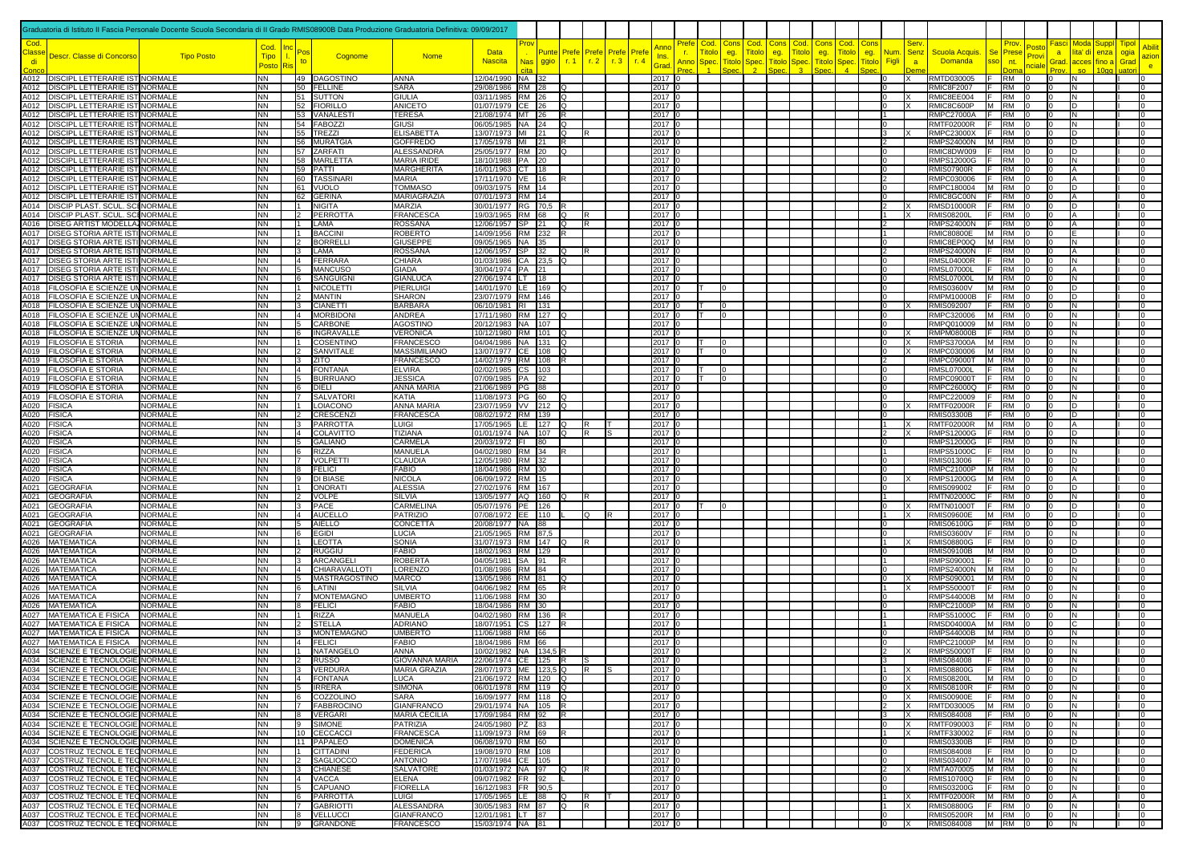|                            |                                                                                | Graduatoria di Istituto II Fascia Personale Docente Scuola Secondaria di II Grado RMIS08900B Data Produzione Graduatoria Definitiva: 09/09/2017 |                        |                              |                                     |                                      |                                              |     |               |                 |                           |              |                                    |                                   |                      |                     |                                |                      |                             |                                      |                  |                                           |                                      |                                  |                                 |                |              |             |
|----------------------------|--------------------------------------------------------------------------------|-------------------------------------------------------------------------------------------------------------------------------------------------|------------------------|------------------------------|-------------------------------------|--------------------------------------|----------------------------------------------|-----|---------------|-----------------|---------------------------|--------------|------------------------------------|-----------------------------------|----------------------|---------------------|--------------------------------|----------------------|-----------------------------|--------------------------------------|------------------|-------------------------------------------|--------------------------------------|----------------------------------|---------------------------------|----------------|--------------|-------------|
|                            |                                                                                |                                                                                                                                                 | Cod.                   |                              |                                     |                                      | Data                                         |     |               |                 |                           |              |                                    | ≧ref<br>Cod                       | Con                  | Cod<br>Con          | Cod                            | Con:                 | Cod                         | Con                                  | Sen              |                                           | Prov                                 | 'osto                            | Fascil<br>Moda                  | Suppl          | <b>Tipo</b>  |             |
| lass:<br>di                | Descr. Classe di Concorso                                                      | <b>Tipo Posto</b>                                                                                                                               | <b>Tipo</b><br>Posto   |                              | Cognome                             | <b>Nome</b>                          | <b>Nascita</b>                               | Nas | Punte<br>ggio | Prefe<br>r.1    | Prefe<br>r <sub>1</sub> 2 | Prefe<br>r.3 | Pref<br>Ins.<br>r.4<br><b>Grad</b> | itok<br>T.<br>Anno<br><b>Spec</b> | eg.<br><b>Titolo</b> | itol<br>eg.<br>Spec | itolo<br><b>Titolo</b><br>Spec | eg.<br><b>Titolo</b> | <b>Titol</b><br><b>Spec</b> | Num<br>eg.<br>Figli<br><b>Titolo</b> | <b>Senz</b><br>a | Scuola Acquis.<br><b>Domanda</b>          | <b>Se</b><br>Prese<br>sso<br>nt.     | rov<br>nciale                    | lita' di<br>a<br>Grad.<br>acces | enza<br>fino a | ogia<br>Grad | azion<br>e. |
|                            | A012 DISCIPL LETTERARIE IST NORMALE                                            |                                                                                                                                                 | NN                     |                              | 49 DAGOSTINO                        | ANNA                                 | 12/04/1990 NA 32                             |     |               |                 |                           |              | 2017 0                             |                                   |                      |                     |                                |                      |                             | 10                                   |                  | RMTD030005                                | E<br><b>RM</b>                       |                                  | N                               |                |              |             |
|                            | A012   DISCIPL LETTERARIE IST NORMALE                                          |                                                                                                                                                 | NN<br>NN               |                              | 50 FELLINE                          | <b>SARA</b>                          | 29/08/1986 RM 28                             |     |               | IQ              |                           |              | 2017 0                             |                                   |                      |                     |                                |                      |                             | 0<br>l O                             |                  | <b>RMIC8F2007</b>                         | RM<br>IF.<br>IF.                     | 10<br>I٥                         | IN.                             |                |              |             |
|                            | A012   DISCIPL LETTERARIE IST NORMALE<br>A012 DISCIPL LETTERARIE IST NORMALE   |                                                                                                                                                 | NN                     |                              | 51 SUTTON<br>52 FIORILLO            | <b>GIULIA</b><br><b>ANICETO</b>      | 03/11/1985 RM 26<br>01/07/1979 CE 26         |     |               | lQ.<br>lQ       |                           |              | 2017 0<br>2017 0                   |                                   |                      |                     |                                |                      |                             | $\Omega$                             |                  | RMIC8EE004<br>RMIC8C600P                  | <b>RM</b><br>M RM                    | I٥                               | N<br>D                          |                |              |             |
|                            | A012 DISCIPL LETTERARIE IST NORMALE<br>A012   DISCIPL LETTERARIE IST NORMALE   |                                                                                                                                                 | <b>NN</b><br><b>NN</b> |                              | 53 VANALESTI<br>54 FABOZZI          | <b>TERESA</b><br><b>GIUSI</b>        | 21/08/1974 MT 26<br>06/05/1985 NA 24         |     |               | IR.<br>lQ       |                           |              | 2017 0<br>2017 0                   |                                   |                      |                     |                                |                      |                             | 11<br>lo.                            |                  | <b>RMPC27000A</b><br><b>RMTF02000R</b>    | F RM 0<br>IF.<br><b>RM</b>           | In<br>0                          | IN.<br>IN.                      |                |              |             |
|                            | A012   DISCIPL LETTERARIE IST NORMALE                                          |                                                                                                                                                 | <b>NN</b>              |                              | 55 TREZZI                           | <b>ELISABETTA</b>                    | 13/07/1973 MI 21                             |     |               | lQ.             |                           |              | 2017 0                             |                                   |                      |                     |                                |                      |                             | 3                                    |                  | <b>RMPC23000X</b>                         | IF.<br><b>RM</b>                     | I0                               | D                               |                |              |             |
|                            | A012   DISCIPL LETTERARIE IST NORMALE<br>A012 DISCIPL LETTERARIE IST NORMALE   |                                                                                                                                                 | NN<br>NN.              |                              | 56 MURATGIA<br>57 ZARFATI           | <b>GOFFREDO</b><br><b>ALESSANDRA</b> | 17/05/1978 MI 21<br>25/05/1977 RM 20         |     |               | IR.<br>$\Omega$ |                           |              | 2017 0<br>2017 0                   |                                   |                      |                     |                                |                      |                             | $\overline{2}$<br><sup>0</sup>       |                  | RMPS24000N M RM<br>RMIC8DW009 F RM        |                                      |                                  | ID.<br>D                        |                |              |             |
|                            | A012   DISCIPL LETTERARIE IST NORMALE                                          |                                                                                                                                                 | NN                     |                              | 58 MARLETTA                         | <b>MARIA IRIDE</b>                   | 18/10/1988 PA 20                             |     |               |                 |                           |              | 2017 0                             |                                   |                      |                     |                                |                      |                             | 0                                    |                  | <b>RMPS12000G</b>                         | F RM                                 |                                  | N                               |                |              |             |
|                            | A012   DISCIPL LETTERARIE IST NORMALE<br>A012 DISCIPL LETTERARIE IST NORMALE   |                                                                                                                                                 | NN<br>NN               |                              | 59 PATTI<br>60 TASSINARI            | <b>MARGHERITA</b><br><b>MARIA</b>    | 16/01/1963 CT   18<br>17/11/1970 VE 16       |     |               |                 |                           |              | 2017 0<br>2017 0                   |                                   |                      |                     |                                |                      |                             | 10<br>$\overline{2}$                 |                  | <b>RMIS07900R</b><br>RMPC030006           | <b>RM</b><br>IF.<br><b>RM</b><br>IF. |                                  | Α                               |                |              |             |
|                            | A012   DISCIPL LETTERARIE IST NORMALE                                          |                                                                                                                                                 | NN.                    |                              | 61 VUOLO                            | <b>TOMMASO</b>                       | 09/03/1975 RM 14                             |     |               |                 |                           |              | 2017 0                             |                                   |                      |                     |                                |                      |                             | l0                                   |                  | RMPC180004                                | M RM                                 |                                  | D                               |                |              |             |
|                            | A012   DISCIPL LETTERARIE IST NORMALE<br>A014 DISCIP PLAST. SCUL. SCI NORMALE  |                                                                                                                                                 | NN<br>NN               | $\overline{1}$               | 62 GERINA<br>NIGITA                 | MARIAGRAZIA<br>MARZIA                | 07/01/1973 RM 14<br>30/01/1977 RG 70,5       |     |               |                 |                           |              | 2017 0<br>2017 0                   |                                   |                      |                     |                                |                      |                             | $\overline{0}$<br>2                  |                  | RMIC8GC00N<br><b>RMSD10000R</b>           | IF.<br>RM<br><b>RM</b>               | I٥                               | А<br>D                          |                |              |             |
|                            | A014   DISCIP PLAST. SCUL. SCI NORMALE                                         |                                                                                                                                                 | NN.                    | $\overline{2}$               | PERROTTA                            | <b>FRANCESCA</b>                     | 19/03/1965 RM 68                             |     |               | lQ              |                           |              | 2017 0                             |                                   |                      |                     |                                |                      |                             |                                      |                  | <b>RMIS08200L</b>                         | RM                                   |                                  |                                 |                |              |             |
|                            | A016   DISEG ARTIST MODELLA NORMALE<br>A017   DISEG STORIA ARTE ISTINORMALE    |                                                                                                                                                 | NN.<br>NN.             | 1<br>$\overline{1}$          | LAMA<br><b>BACCINI</b>              | ROSSANA<br>ROBERTO                   | 12/06/1957 SP 21<br>14/09/1956 RM 232        |     |               | lQ.             | R                         |              | 2017 0<br>2017 0                   |                                   |                      |                     |                                |                      |                             | $\overline{2}$                       |                  | <b>RMPS24000N</b><br><b>RMIC80800E</b>    | <b>RM</b><br>M RM                    |                                  |                                 |                |              |             |
|                            | A017   DISEG STORIA ARTE ISTI NORMALE                                          |                                                                                                                                                 | NN                     | $\vert$ 2                    | <b>BORRELLI</b>                     | <b>GIUSEPPE</b>                      | 09/05/1965 NA 35                             |     |               |                 |                           |              | 2017 0                             |                                   |                      |                     |                                |                      |                             | $\mathbf{0}$                         |                  | RMIC8EP00Q M RM                           |                                      |                                  | N                               |                |              |             |
|                            | A017   DISEG STORIA ARTE ISTI NORMALE<br>A017   DISEG STORIA ARTE ISTI NORMALE |                                                                                                                                                 | NN<br>NN.              | 3<br>$\overline{4}$          | LAMA<br><b>FERRARA</b>              | <b>ROSSANA</b><br>CHIARA             | 12/06/1957 SP 32<br>01/03/1986 CA 23,5 Q     |     |               | lO.             |                           |              | 2017 0<br>2017 0                   |                                   |                      |                     |                                |                      |                             | $\overline{2}$<br>$\Omega$           |                  | <b>RMPS24000N</b><br><b>RMSL04000R</b>    | F RM<br>IF.<br>RM                    |                                  | N                               |                |              |             |
|                            | A017   DISEG STORIA ARTE ISTI NORMALE                                          |                                                                                                                                                 | NN                     | 5                            | <b>MANCUSO</b>                      | <b>GIADA</b>                         | 30/04/1974 PA 21                             |     |               |                 |                           |              | 2017 0                             |                                   |                      |                     |                                |                      |                             | lo.                                  |                  | <b>RMSL07000L</b>                         | F RM                                 | I٥                               | A                               |                |              |             |
|                            | A017   DISEG STORIA ARTE ISTI NORMALE<br>A018   FILOSOFIA E SCIENZE UN NORMALE |                                                                                                                                                 | NN<br><b>NN</b>        | l6 —<br>$\mathbf{1}$         | SANGUIGNI<br><b>NICOLETTI</b>       | <b>GIANLUCA</b><br>PIERLUIGI         | 27/06/1974 LT 18<br>14/01/1970 LE 169        |     |               |                 |                           |              | 2017 0<br>2017 0                   |                                   | $\Omega$             |                     |                                |                      |                             | $\Omega$<br>l0                       |                  | <b>RMSL07000L</b><br><b>RMIS03600V</b>    | M RM<br>M RM                         | I0                               | IN.<br>ID.                      |                |              |             |
|                            | A018 FILOSOFIA E SCIENZE UN NORMALE                                            |                                                                                                                                                 | NN                     |                              | <b>MANTIN</b>                       | <b>SHARON</b>                        | 23/07/1979 RM 146                            |     |               |                 |                           |              | 2017 0                             |                                   |                      |                     |                                |                      |                             | 0                                    |                  | RMPM10000B                                | F RM                                 |                                  | D                               |                |              |             |
|                            | A018   FILOSOFIA E SCIENZE UN NORMALE<br>A018   FILOSOFIA E SCIENZE UN NORMALE |                                                                                                                                                 | NN<br>NN I             | 3<br>$\overline{4}$          | <b>CIANETTI</b><br><b>MORBIDON</b>  | <b>BARBARA</b><br>ANDREA             | 06/10/1981 RI 131<br>17/11/1980 RM 127       |     |               |                 |                           |              | 2017 0<br>2017 C                   |                                   |                      |                     |                                |                      |                             | 0<br>10                              |                  | <b>RMIS092007</b><br>RMPC320006           | F RM<br>M RM                         |                                  | N<br>N                          |                |              |             |
|                            | A018 FILOSOFIA E SCIENZE UN NORMALE                                            |                                                                                                                                                 | <b>NN</b>              | <b>5</b>                     | <b>CARBONE</b>                      | AGOSTINC                             | 20/12/1983 NA 107                            |     |               |                 |                           |              | 2017 C                             |                                   |                      |                     |                                |                      |                             | l O                                  |                  | RMPQ010009   M   RM                       |                                      |                                  | N                               |                |              |             |
|                            | A018 FILOSOFIA E SCIENZE UN NORMALE<br>A019 FILOSOFIA E STORIA                 | <b>NORMALE</b>                                                                                                                                  | NN<br><b>NN</b>        | 6<br>$\vert$ 1               | INGRAVALLE<br>COSENTINO             | <b>VERONICA</b><br><b>FRANCESCO</b>  | 10/12/1980 RM 101<br>04/04/1986 NA 131       |     |               | lo.             |                           |              | 2017 C<br>2017 0                   |                                   |                      |                     |                                |                      |                             | l0<br>lo.                            | $\times$         | RMPM08000B F<br><b>RMPS37000A</b>         | <b>RM</b><br>M RM                    | I٥                               | IN.<br>IN.                      |                |              |             |
|                            | A019 FILOSOFIA E STORIA                                                        | <b>NORMALE</b>                                                                                                                                  | <b>NN</b>              |                              | 2 SANVITALE                         | <b>MASSIMILIANO</b>                  | 13/07/1977 CE 108                            |     |               | lO.             |                           |              | 2017 0                             | IT.                               | $\cap$               |                     |                                |                      |                             | l0                                   |                  | RMPC030006                                | M RM                                 |                                  | IN.                             |                |              |             |
|                            | A019 FILOSOFIA E STORIA<br>A019 FILOSOFIA E STORIA                             | <b>NORMALE</b><br><b>NORMALE</b>                                                                                                                | <b>NN</b><br>NN.       | $\vert$ 3<br>$\vert 4 \vert$ | <b>ZITO</b><br><b>FONTANA</b>       | <b>FRANCESCO</b><br><b>ELVIRA</b>    | 14/02/1979 RM 108                            |     |               |                 |                           |              | 2017 0<br>2017 0                   | IΤ                                |                      |                     |                                |                      |                             | $\overline{2}$<br>$\Omega$           |                  | RMPC09000T<br><b>RMSL07000L</b>           | M RM<br>IF.<br><b>RM</b>             |                                  | IN.<br>N                        |                |              |             |
|                            | A019 FILOSOFIA E STORIA                                                        | <b>NORMALE</b>                                                                                                                                  | NN                     |                              | 5 BURRUANO                          | <b>JESSICA</b>                       | 02/02/1985 CS 103<br>07/09/1985 PA 92        |     |               |                 |                           |              | 2017 0                             |                                   | n                    |                     |                                |                      |                             | I٥                                   |                  | <b>RMPC09000T</b>                         | F RM                                 |                                  | N                               |                |              |             |
|                            | A019 FILOSOFIA E STORIA                                                        | <b>NORMALE</b>                                                                                                                                  | <b>NN</b><br><b>NN</b> |                              | 6 DIELI                             | <b>ANNA MARIA</b>                    | 21/06/1989 PG 88                             |     |               |                 |                           |              | 2017 0                             |                                   |                      |                     |                                |                      |                             | 0<br>l O                             |                  | RMPC26000Q F RM                           |                                      | I٥                               | N<br>N                          |                |              |             |
| A020 FISICA                | A019 FILOSOFIA E STORIA                                                        | <b>NORMALE</b><br>NORMALE                                                                                                                       | NN I                   | I1 —                         | 7 SALVATORI<br>LOIACONO             | KATIA<br><b>ANNA MARIA</b>           | 11/08/1973 PG 60<br>23/07/1959 VV 212 Q      |     |               |                 |                           |              | 2017 0<br>2017 0                   |                                   |                      |                     |                                |                      |                             | l0                                   |                  | RMPC220009 F RM<br><b>RMTF02000R</b>      | IF.<br><b>RM</b>                     | I٥                               | D                               |                |              |             |
| A020 FISICA                |                                                                                | <b>NORMALE</b>                                                                                                                                  | <b>NN</b>              | $\vert$ 2                    | <b>CRESCENZI</b>                    | <b>FRANCESCA</b>                     | 08/02/1972 RM 139                            |     |               |                 |                           |              | 2017 0                             |                                   |                      |                     |                                |                      |                             | lo.<br>11                            |                  | <b>RMIS03300B</b>                         | $F$ RM 0                             | In                               | D                               |                |              |             |
| A020 FISICA<br>A020 FISICA |                                                                                | <b>NORMALE</b><br><b>NORMALE</b>                                                                                                                | <b>NN</b><br><b>NN</b> |                              | 3 PARROTTA<br>14 COLAVITTO          | <b>LUIGI</b><br>TIZIANA              | 17/05/1965 LE 127<br>01/01/1974 NA 107       |     |               | lQ<br>lo.       | R                         |              | 2017 0<br>2017 0                   |                                   |                      |                     |                                |                      |                             | $\overline{2}$                       | <b>x</b>         | <b>RMTF02000R</b><br><b>RMPS12000G</b>    | M RM<br>F RM                         | I0                               | A<br>ID.                        |                |              |             |
| A020 FISICA                |                                                                                | <b>NORMALE</b>                                                                                                                                  | NN                     | 5                            | <b>GALIANO</b>                      | CARMELA                              | 20/03/1972 FI                                |     | 180           |                 |                           |              | 2017 0                             |                                   |                      |                     |                                |                      |                             | $\Omega$                             |                  | <b>RMPS12000G</b>                         | IF.<br><b>RM</b><br>F RM             |                                  | N                               |                |              |             |
| A020 FISICA<br>A020 FISICA |                                                                                | <b>NORMALE</b><br><b>NORMALE</b>                                                                                                                | NN<br>NN I             | 6                            | <b>RIZZA</b><br>7 VOLPETTI          | MANUELA<br>CLAUDIA                   | 04/02/1980 RM 34<br>12/05/1980 RM 32         |     |               |                 |                           |              | 2017 0<br>2017 0                   |                                   |                      |                     |                                |                      |                             | 11<br>0                              |                  | <b>RMPS51000C</b><br>RMIS013006           | <b>RM</b><br>IF.                     |                                  | N<br>D                          |                |              |             |
| A020 FISICA                |                                                                                | <b>NORMALE</b>                                                                                                                                  | <b>NN</b>              | $\overline{9}$               | 8 FELICI                            | <b>FABIO</b>                         | 18/04/1986 RM 30                             |     |               |                 |                           |              | 2017 0                             |                                   |                      |                     |                                |                      |                             | 0                                    |                  | RMPC21000P M RM                           |                                      | I٥<br>I٥                         | N                               |                |              |             |
| A020 FISICA                | A021 GEOGRAFIA                                                                 | <b>NORMALE</b><br><b>NORMALE</b>                                                                                                                | NN<br>NN               | $\overline{1}$               | <b>DI BIASE</b><br>ONORATI          | <b>NICOLA</b><br><b>ALESSIA</b>      | 06/09/1972 RM 15<br>27/02/1976 RM 167        |     |               |                 |                           |              | 2017 0<br>2017 0                   |                                   |                      |                     |                                |                      |                             | 0<br>l0                              |                  | <b>RMPS12000G</b><br><b>RMIS099002</b>    | M RM<br>IE.<br><b>RM</b>             | In.                              | D                               |                |              |             |
|                            | A021 GEOGRAFIA                                                                 | <b>NORMALE</b>                                                                                                                                  | NN                     |                              | 2 VOLPE<br>3 PACE                   | <b>SILVIA</b>                        | 13/05/1977 AQ 160                            |     |               |                 | R                         |              | 2017 0                             |                                   |                      |                     |                                |                      |                             | $\overline{1}$                       |                  | <b>RMTN02000C</b>                         | IF.<br><b>RM</b><br>IF.              | In.                              | IN.                             |                |              |             |
| A021                       | A021 GEOGRAFIA<br><b>GEOGRAFIA</b>                                             | <b>NORMALE</b><br><b>NORMALE</b>                                                                                                                | NN<br>NN.              | $\overline{4}$               | <b>AUCELLO</b>                      | <b>CARMELINA</b><br><b>PATRIZIO</b>  | 05/07/1976 PE 126<br>07/08/1972 EE 110       |     |               |                 | Q                         |              | 2017 0<br>2017 0                   |                                   | I0.                  |                     |                                |                      |                             | $\overline{0}$                       |                  | <b>RMTN01000T</b><br><b>RMIS09600E</b>    | <b>RM</b><br>M RM                    | I0                               | D<br>D                          |                |              |             |
|                            | A021 GEOGRAFIA                                                                 | <b>NORMALE</b>                                                                                                                                  | NN.                    | 5                            | <b>AIELLO</b>                       | CONCETTA                             | 20/08/1977 NA 88                             |     |               |                 |                           |              | 2017 0                             |                                   |                      |                     |                                |                      |                             | l0                                   |                  | <b>RMIS06100G</b>                         | IF.<br><b>RM</b>                     | I٥                               | D                               |                |              |             |
|                            | A021 GEOGRAFIA<br>A026 MATEMATICA                                              | <b>NORMALE</b><br><b>NORMALE</b>                                                                                                                | NN<br>NN               | $6\degree$                   | <b>EGIDI</b><br>1 LEOTTA            | LUCIA<br>SONIA                       | 21/05/1965 RM 87,5<br>31/07/1973 RM 147 Q    |     |               |                 | R                         |              | 2017 0<br>2017 0                   |                                   |                      |                     |                                |                      |                             | $\mathbf{0}$<br>11                   |                  | <b>RMIS03600V</b><br><b>RMIS08800G</b>    | <b>RM</b><br>F.<br>F RM              | I٥                               | N<br>D                          |                |              |             |
|                            | A026 MATEMATICA                                                                | <b>NORMALE</b>                                                                                                                                  | NN I                   | $\vert$ 2                    | <b>RUGGIU</b>                       | <b>FABIO</b>                         | 18/02/1963 RM 129                            |     |               |                 |                           |              | 2017 0                             |                                   |                      |                     |                                |                      |                             | l0                                   |                  | <b>RMIS09100B</b>                         | M RM                                 |                                  | D                               |                |              |             |
|                            | A026 MATEMATICA<br>A026 MATEMATICA                                             | <b>NORMALE</b><br><b>NORMALE</b>                                                                                                                | NN<br>NN               | <u>із</u><br>$\overline{4}$  | ARCANGELI<br>CHIARAVALLOTI          | <b>ROBERTA</b><br>LORENZO            | 04/05/1981 SA 91<br>01/08/1986 RM 84         |     |               | IR.             |                           |              | 2017 0<br>2017 0                   |                                   |                      |                     |                                |                      |                             | <b>11</b><br>lo.                     |                  | RMPS090001<br>RMPS24000N M RM             | $F$ RM                               | I٥                               | D<br>IN.                        |                |              |             |
|                            | A026   MATEMATICA                                                              | <b>NORMALE</b>                                                                                                                                  | <b>NN</b>              | l6 —                         | 5 MASTRAGOSTINO                     | <b>MARCO</b>                         | 13/05/1986 RM 81                             |     |               | lQ              |                           |              | 2017 0                             |                                   |                      |                     |                                |                      |                             | 0<br><b>11</b>                       | Iχ<br>Ιx         | RMPS090001                                | M RM 0                               | I0                               | IN.                             |                |              |             |
|                            | A026 MATEMATICA<br>A026 MATEMATICA                                             | <b>NORMALE</b><br><b>NORMALE</b>                                                                                                                | NN<br>NN               | $\overline{7}$               | LATINI<br><b>MONTEMAGNO</b>         | SILVIA<br><b>UMBERTO</b>             | 04/06/1982 RM 65<br>11/06/1988 RM 30         |     |               |                 |                           |              | 2017 0<br>2017 0                   |                                   |                      |                     |                                |                      |                             | l0                                   |                  | <b>RMPS50000T</b><br><b>RMPS44000B</b>    | IF.<br><b>RM</b><br>$M$ RM           | I0<br>I٥                         | IN.<br>IN.                      |                |              |             |
|                            | A026 MATEMATICA                                                                | <b>NORMALE</b>                                                                                                                                  | NN                     | 8                            | <b>FELICI</b>                       | FABIO                                | 18/04/1986 RM 30                             |     |               |                 |                           |              | 2017 0                             |                                   |                      |                     |                                |                      |                             | 10                                   |                  | RMPC21000P M RM                           |                                      | m                                | N                               |                |              |             |
|                            | A027   MATEMATICA E FISICA<br>A027 MATEMATICA E FISICA                         | <b>NORMALE</b><br><b>NORMALE</b>                                                                                                                | <b>NN</b><br>NN        | I1 —<br>$\overline{2}$       | <b>RIZZA</b><br><b>STELLA</b>       | MANUELA<br><b>ADRIANO</b>            | 04/02/1980 RM 136<br>18/07/1951 CS 127       |     |               |                 |                           |              | 2017 0<br>2017 0                   |                                   |                      |                     |                                |                      |                             | 11<br>11                             |                  | RMPS51000C<br>RMSD04000A M RM             | IF RM                                | ı٨                               | N<br>C.                         |                |              |             |
|                            | A027 MATEMATICA E FISICA                                                       | <b>NORMALE</b>                                                                                                                                  | NN                     | 3                            | <b>MONTEMAGNO</b>                   | <b>UMBERTO</b>                       | 11/06/1988 RM 66                             |     |               |                 |                           |              | 2017 C                             |                                   |                      |                     |                                |                      |                             | $\Omega$                             |                  | <b>RMPS44000B</b>                         | M RM                                 |                                  | N                               |                |              |             |
|                            | A027 MATEMATICA E FISICA<br>A034 SCIENZE E TECNOLOGIE NORMALE                  | <b>NORMALE</b>                                                                                                                                  | <b>NN</b><br><b>NN</b> |                              | $\sqrt{4}$ FELICI<br>1 NATANGELO    | <b>FABIO</b><br><b>ANNA</b>          | 18/04/1986 RM 66<br>10/02/1982 NA 134,5 R    |     |               |                 |                           |              | 2017 0<br>2017 0                   |                                   |                      |                     |                                |                      |                             | lo.<br>$\overline{2}$                |                  | RMPC21000P M RM<br>RMPS50000T F RM 0      |                                      | In<br>$\overline{0}$             | N<br>IN.                        |                |              |             |
|                            | A034 SCIENZE E TECNOLOGIE NORMALE                                              |                                                                                                                                                 |                        |                              | 150550                              | GIOVANNA MARIA                       | 22/06/1974 CE 125 R                          |     |               |                 |                           |              | $2017$ C                           |                                   |                      |                     |                                |                      |                             |                                      |                  | RMIS084008                                | <b>RM</b>                            |                                  |                                 |                |              |             |
|                            | A034 SCIENZE E TECNOLOGIE NORMALE<br>A034 SCIENZE E TECNOLOGIE NORMALE         |                                                                                                                                                 | NN 1<br><b>NN</b>      |                              | 3 VERDURA<br>4 FONTANA              | <b>MARIA GRAZIA</b><br><b>LUCA</b>   | 28/07/1973 ME 123,5 Q<br>21/06/1972 RM 120 Q |     |               |                 | IR.                       |              | 2017 0<br>2017 0                   |                                   |                      |                     |                                |                      |                             | 11<br>lo                             | IΧ<br> X         | RMIS08800G<br><b>RMIS08200L</b>           | $F$ RM $\vert$ 0<br>M RM 0           | l O<br>I0.                       | IN.<br>D                        |                |              |             |
|                            | A034 SCIENZE E TECNOLOGIE NORMALE                                              |                                                                                                                                                 | <b>NN</b>              |                              | 5 <b>IRRERA</b>                     | <b>SIMONA</b>                        | 06/01/1978 RM 119 Q                          |     |               |                 |                           |              | 2017 0                             |                                   |                      |                     |                                |                      |                             | 0                                    | IX.              | <b>RMIS08100R</b>                         | $F$ RM 0                             | ı٨                               | IN.                             |                |              |             |
|                            | A034 SCIENZE E TECNOLOGIE NORMALE<br>A034 SCIENZE E TECNOLOGIE NORMALE         |                                                                                                                                                 | <b>NN</b><br><b>NN</b> |                              | 6 COZZOLINO<br>7 FABBROCINO         | <b>SARA</b><br>GIANFRANCO            | 16/09/1977 RM 118 Q<br>29/01/1974 NA 105 R   |     |               |                 |                           |              | 2017 0<br>2017 0                   |                                   |                      |                     |                                |                      |                             | 0<br><sup>2</sup>                    | IX<br>Ιx         | <b>RMIS00900E</b><br>RMTD030005  M  RM  0 | $F$ RM $\vert$ 0                     | I0.<br>I٥                        | IN.<br>N                        |                |              |             |
|                            | A034 SCIENZE E TECNOLOGIE NORMALE                                              |                                                                                                                                                 | <b>NN</b>              |                              | 8 VERGARI                           | <b>MARIA CECILIA</b>                 | 17/09/1984 RM 92                             |     |               | IR.             |                           |              | 2017 0                             |                                   |                      |                     |                                |                      |                             | 3                                    | Ιx               | RMIS084008                                | $F$ RM 0                             | 0                                | N                               |                |              |             |
|                            | A034 SCIENZE E TECNOLOGIE NORMALE<br>A034 SCIENZE E TECNOLOGIE NORMALE         |                                                                                                                                                 | <b>NN</b><br><b>NN</b> |                              | 9 SIMONE<br>10 CECCACCI             | PATRIZIA<br><b>FRANCESCA</b>         | 24/05/1980 PZ 83<br>11/09/1973 RM 69         |     |               |                 |                           |              | 2017 0<br>2017 0                   |                                   |                      |                     |                                |                      |                             | $\overline{0}$<br>11                 | lx<br>X          | RMTF090003<br>RMTF330002                  | $F$ RM $0$<br>$F$ RM $ 0$            | $\overline{0}$<br>$\overline{0}$ | IN.<br>IN.                      |                |              |             |
|                            | A034 SCIENZE E TECNOLOGIE NORMALE                                              |                                                                                                                                                 | NN                     |                              | 11 PAPALEO                          | <b>DOMENICA</b>                      | 06/08/1970 RM 60                             |     |               |                 |                           |              | 2017 0                             |                                   |                      |                     |                                |                      |                             | l0                                   |                  | <b>RMIS03300B</b>                         | $F$ RM 0                             | 0                                | ID.                             |                |              |             |
|                            | A037 COSTRUZ TECNOL E TECNORMALE<br>A037 COSTRUZ TECNOL E TECNORMALE           |                                                                                                                                                 | NN<br><b>NN</b>        |                              | 1 CITTADINI<br>2  SAGLIOCCO         | <b>FEDERICA</b><br><b>ANTONIO</b>    | 19/08/1970 RM 108<br>17/07/1984 CE 105       |     |               |                 |                           |              | 2017 0<br>2017 0                   |                                   |                      |                     |                                |                      |                             | 0<br>0                               |                  | <b>RMIS084008</b><br>RMIS034007           | $F$ RM 0<br>$M$ RM $0$               | I٥<br>I0.                        | D<br>N                          |                |              |             |
|                            | A037 COSTRUZ TECNOL E TECNORMALE                                               |                                                                                                                                                 | <b>NN</b>              |                              | 3 CHIANESE                          | <b>SALVATORE</b>                     | 01/03/1972 NA 97                             |     |               | IQ.             | IR.                       |              | 2017 0                             |                                   |                      |                     |                                |                      |                             | $\vert$ 2                            |                  | RMTA070005 M RM 0                         |                                      | 10                               | IN.                             |                |              |             |
|                            | A037 COSTRUZ TECNOL E TECNORMALE<br>A037 COSTRUZ TECNOL E TECNORMALE           |                                                                                                                                                 | <b>NN</b><br><b>NN</b> |                              | 4 VACCA<br>5 CAPUANO                | <b>ELENA</b><br><b>FIORELLA</b>      | 09/07/1982 FR 92<br>16/12/1983   FR   90,5   |     |               |                 |                           |              | 2017 0<br>2017 0                   |                                   |                      |                     |                                |                      |                             | $\overline{0}$<br>l0                 |                  | <b>RMIS10700Q</b><br><b>RMIS03200G</b>    | $F$ RM 0<br>$F$ RM $0$               | I0.<br>0                         | IN.<br>IN.                      |                |              |             |
|                            | A037 COSTRUZ TECNOL E TECNORMALE                                               |                                                                                                                                                 | <b>NN</b>              |                              | 6 PARROTTA                          | <b>LUIGI</b>                         | 17/05/1965 LE 88                             |     |               | lQ              | lR.                       |              | 2017 0                             |                                   |                      |                     |                                |                      |                             | $\overline{1}$                       | ΙX               | <b>RMTF02000R</b>                         | M RM 0                               | $\overline{0}$                   | IA.                             |                |              |             |
|                            | A037 COSTRUZ TECNOL E TECNORMALE<br>A037 COSTRUZ TECNOL E TECNORMALE           |                                                                                                                                                 | <b>NN</b><br><b>NN</b> | $\overline{7}$<br>8          | <b>GABRIOTTI</b><br><b>VELLUCCI</b> | ALESSANDRA<br><b>GIANFRANCO</b>      | 30/05/1983 RM 87<br>12/01/1981 LT 87         |     |               | lQ.             | IR.                       |              | 2017 0<br>2017 0                   |                                   |                      |                     |                                |                      |                             | $\vert$ 1<br>0                       | Ιx               | <b>RMIS08800G</b><br><b>RMIS05200R</b>    | $F$ RM 0<br>M RM 0                   | $\overline{0}$<br>$\overline{0}$ | IN.<br>IN.                      |                |              |             |
|                            | A037 COSTRUZ TECNOL E TECNORMALE                                               |                                                                                                                                                 | <b>NN</b>              |                              | 9 GRANDONE                          | <b>FRANCESCO</b>                     | 15/03/1974 NA 81                             |     |               |                 |                           |              | 2017 0                             |                                   |                      |                     |                                |                      |                             | l 0                                  |                  | RMIS084008 M RM 0                         |                                      | $\overline{0}$                   | IN.                             |                |              |             |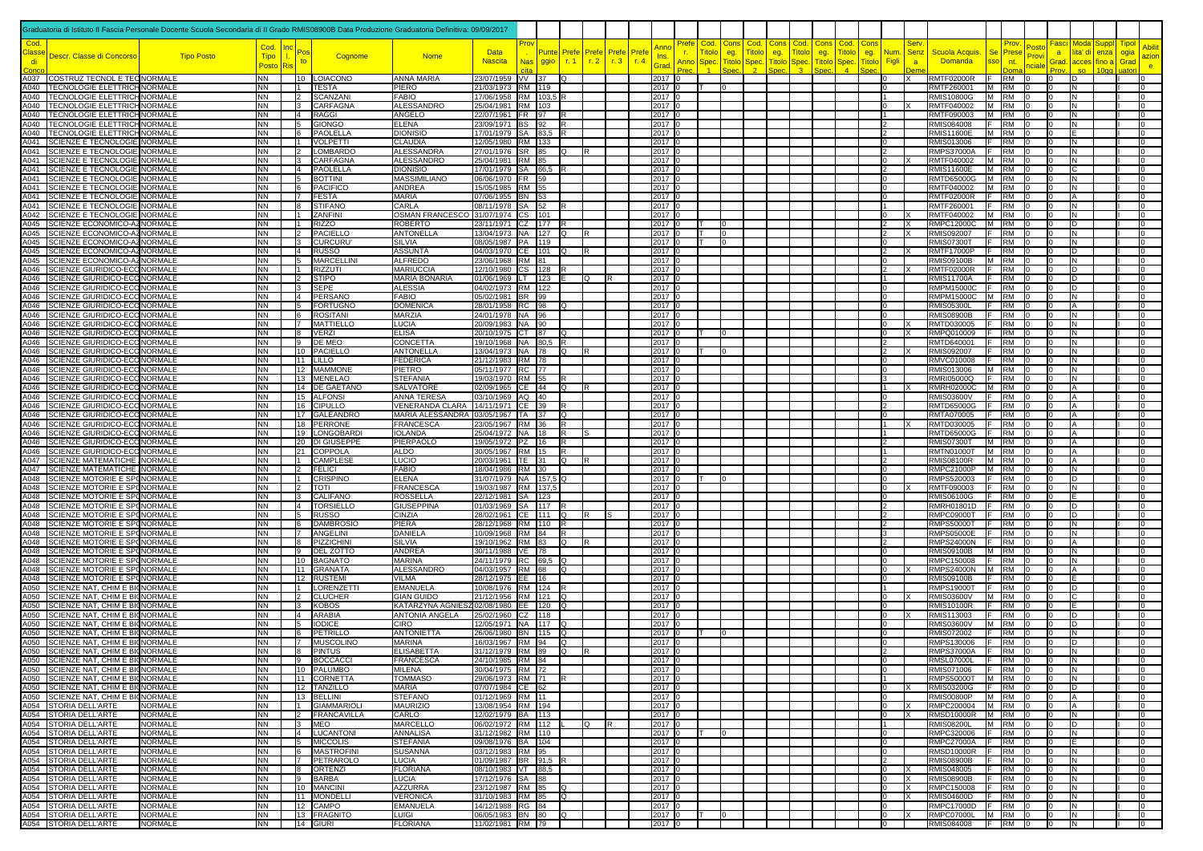|              |                                                                                                                           | Graduatoria di Istituto II Fascia Personale Docente Scuola Secondaria di II Grado RMIS08900B Data Produzione Graduatoria Definitiva: 09/09/2017 |                        |                           |                                     |                                          |                                                |            |               |               |                                  |             |                                   |                       |                                              |                     |                                       |                      |                                    |                                                           |                                        |                                      |                                           |                         |                                     |              |       |
|--------------|---------------------------------------------------------------------------------------------------------------------------|-------------------------------------------------------------------------------------------------------------------------------------------------|------------------------|---------------------------|-------------------------------------|------------------------------------------|------------------------------------------------|------------|---------------|---------------|----------------------------------|-------------|-----------------------------------|-----------------------|----------------------------------------------|---------------------|---------------------------------------|----------------------|------------------------------------|-----------------------------------------------------------|----------------------------------------|--------------------------------------|-------------------------------------------|-------------------------|-------------------------------------|--------------|-------|
| Cod.         |                                                                                                                           |                                                                                                                                                 | Cod.                   |                           |                                     |                                          |                                                |            |               |               |                                  |             | Prefe<br>۱nn                      | Cod. Cons             | Cod.                                         |                     | Cod.                                  |                      | Cod                                | Ser                                                       |                                        |                                      | 'osto                                     |                         |                                     | <u>Fipol</u> |       |
| lass<br>di   | Descr. Classe di Concorso                                                                                                 | <b>Tipo Posto</b>                                                                                                                               | <b>Tipo</b>            |                           | Cognome                             | <b>Nome</b>                              | <b>Data</b><br><b>Nascita</b>                  | <b>Nas</b> | Punte<br>ggio | Prefe<br>r. 1 | <b>Prefe</b> Prefe<br>r.2<br>r.3 | Pref<br>r.4 | n.<br>Ins.<br>Anno<br><b>Grac</b> | <b>Fitolo</b><br>Spec | eg.<br><b>Fitolc</b><br><b>Titol</b><br>Spec | eg.<br><b>Titol</b> | <b>itolo</b><br>$\operatorname{Spec}$ | eg.<br><b>Titolc</b> | itol<br>eg.<br><b>itol</b><br>Spec | <u> Jum</u><br><b>Senz</b><br><u>Figl</u><br>$\mathbf{a}$ | Scuola Acquis.<br><b>Domanda</b>       | <b>Se</b><br>Prese<br>sso<br>nt.     | Prov<br>nciale                            | $\overline{a}$<br>Grad. | lita' di<br>enza<br>acces<br>fino a | ogia<br>Grad | azior |
|              | A037 COSTRUZ TECNOL E TECNORMALE                                                                                          |                                                                                                                                                 | <b>Posto</b><br>NN     |                           | 10 LOIACONO                         | ANNA MARIA                               | 23/07/1959 VV 37                               |            |               | lQ            |                                  |             | 2017 0                            |                       |                                              |                     |                                       |                      |                                    | $\Omega$<br>ΙX                                            | <b>RMTF02000R</b>                      | <b>F</b> RM                          | l0                                        | ID.                     |                                     |              | e.    |
|              | A040 TECNOLOGIE ELETTRICH NORMALE                                                                                         |                                                                                                                                                 | NN                     | $\mathbf{11}$             | <b>TESTA</b>                        | PIERO                                    | 21/03/1973 RM 119                              |            |               |               |                                  |             | 2017 0                            |                       |                                              |                     |                                       |                      |                                    |                                                           | RMTF260001                             | M RM                                 |                                           | IN.                     |                                     |              |       |
|              | A040 TECNOLOGIE ELETTRICH NORMALE<br>A040 TECNOLOGIE ELETTRICH NORMALE                                                    |                                                                                                                                                 | NN<br>NN               | $\vert$ 2<br>$ 3 \rangle$ | SCANZANI<br><b>CARFAGNA</b>         | <b>FABIO</b><br><b>ALESSANDRO</b>        | 17/06/1958 RM 103,5<br>25/04/1981 RM 103       |            |               |               |                                  |             | 2017 0<br>2017 0                  |                       |                                              |                     |                                       |                      |                                    | -1<br>$\Omega$                                            | <b>RMIS10800G</b><br>RMTF040002        | M RM<br>M RM                         |                                           | IN.<br>IN.              |                                     |              |       |
|              | A040 TECNOLOGIE ELETTRICH NORMALE                                                                                         |                                                                                                                                                 | NN                     | $\vert 4 \vert$           | <b>RAGGI</b>                        | ANGELO                                   | 22/07/1961 FR 97                               |            |               |               |                                  |             | 2017 0                            |                       |                                              |                     |                                       |                      |                                    |                                                           | RMTF090003                             | M RM                                 |                                           | IN.                     |                                     |              |       |
| A040         | <b>TECNOLOGIE ELETTRICH NORMALE</b><br>A040 TECNOLOGIE ELETTRICH NORMALE                                                  |                                                                                                                                                 | <b>NN</b><br><b>NN</b> | 5<br>le.                  | <b>GIONGO</b><br>PAOLELLA           | <b>ELENA</b><br><b>DIONISIO</b>          | 23/09/1971 BS 92<br>17/01/1979 SA 83,5 R       |            |               | <b>IR</b>     |                                  |             | 2017 0<br>2017 0                  |                       |                                              |                     |                                       |                      |                                    | $\overline{2}$                                            | RMIS084008<br><b>RMIS11600E</b>        | IF.<br>RM<br>M RM                    | I٥                                        | IN.                     |                                     |              |       |
| A041         | SCIENZE E TECNOLOGIE NORMALE                                                                                              |                                                                                                                                                 | NN                     | $\overline{11}$           | <b>VOLPETTI</b>                     | <b>CLAUDIA</b>                           | 12/05/1980 RM 133                              |            |               |               |                                  |             | 2017 0                            |                       |                                              |                     |                                       |                      |                                    |                                                           | RMIS013006                             | E<br><b>RM</b>                       |                                           | N                       |                                     |              |       |
| A041<br>A041 | SCIENZE E TECNOLOGIE NORMALE<br>SCIENZE E TECNOLOGIE NORMALE                                                              |                                                                                                                                                 | <b>NN</b><br>NN        |                           | <b>LOMBARDO</b><br>CARFAGNA         | <b>ALESSANDRA</b><br>ALESSANDRO          | 27/01/1976 SR 85<br>25/04/1981 RM 85           |            |               | O             |                                  |             | 2017 0<br>2017 C                  |                       |                                              |                     |                                       |                      |                                    |                                                           | <b>RMPS37000A</b><br>RMTF040002        | <b>RM</b><br>IF.<br>M RM             |                                           | IN.<br>N                |                                     |              |       |
| A041         | SCIENZE E TECNOLOGIE NORMALE                                                                                              |                                                                                                                                                 | NN                     | $\overline{14}$           | PAOLELLA                            | <b>DIONISIO</b>                          | 17/01/1979   SA   66,5                         |            |               |               |                                  |             | 2017 C                            |                       |                                              |                     |                                       |                      |                                    |                                                           | <b>RMIS11600E</b>                      | M RM                                 |                                           | C                       |                                     |              |       |
| A041<br>A041 | SCIENZE E TECNOLOGIE NORMALE                                                                                              |                                                                                                                                                 | NN                     | 15<br>16                  | <b>BOTTINI</b>                      | <b>MASSIMILIANO</b>                      | 06/06/1970 FR 59<br>15/05/1985 RM 55           |            |               |               |                                  |             | 2017 0                            |                       |                                              |                     |                                       |                      |                                    | $\Omega$                                                  | <b>RMTD65000G</b><br>RMTF040002        | M RM                                 |                                           | N<br>N                  |                                     |              |       |
| A041         | SCIENZE E TECNOLOGIE NORMALE<br>SCIENZE E TECNOLOGIE NORMALE                                                              |                                                                                                                                                 | NN<br>NN               |                           | PACIFICO<br><b>FESTA</b>            | ANDREA<br><b>MARIA</b>                   | 07/06/1955 BN 53                               |            |               |               |                                  |             | 2017 0<br>2017 0                  |                       |                                              |                     |                                       |                      |                                    |                                                           | <b>RMTF02000R</b>                      | M RM<br>IF.<br><b>RM</b>             |                                           | A                       |                                     |              |       |
| A041         | SCIENZE E TECNOLOGIE NORMALE                                                                                              |                                                                                                                                                 | <b>NN</b>              |                           | <b>STIFANO</b>                      | CARLA                                    | 08/11/1978 SA                                  |            | 52            |               |                                  |             | 2017 0                            |                       |                                              |                     |                                       |                      |                                    |                                                           | RMTF260001                             | IF.<br>RM                            |                                           | IN.                     |                                     |              |       |
| A042<br>A045 | SCIENZE E TECNOLOGIE NORMALE<br>SCIENZE ECONOMICO-AZ NORMALE                                                              |                                                                                                                                                 | NN<br>NN               |                           | ZANFINI<br>RIZZO                    | OSMAN FRANCESCO<br>ROBERTO               | 31/07/1974 CS 101<br>23/11/1971 CZ 177         |            |               |               |                                  |             | 2017 0<br>2017 0                  |                       |                                              |                     |                                       |                      |                                    |                                                           | RMTF040002<br>RMPC12000C               | M RM<br>M RM                         |                                           | IN.<br>ID.              |                                     |              |       |
| A045         | SCIENZE ECONOMICO-AZ NORMALE                                                                                              |                                                                                                                                                 | NN                     |                           | PACIELLO                            | <b>ANTONELLA</b>                         | 13/04/1973  NA  127                            |            |               | lO.           | R                                |             | 2017 0                            | IΤ                    |                                              |                     |                                       |                      |                                    |                                                           | RMIS092007                             | E<br><b>RM</b>                       |                                           | N                       |                                     |              |       |
| A045<br>A045 | SCIENZE ECONOMICO-AZ NORMALE<br>SCIENZE ECONOMICO-AZ NORMALE                                                              |                                                                                                                                                 | NN<br>NN               | 14                        | <b>CURCURU</b><br><b>RUSSO</b>      | SILVIA<br><b>ASSUNTA</b>                 | 08/05/1987 PA 119<br>04/03/1970 CE 101         |            |               | IО            | R                                |             | 2017 0<br>2017 0                  |                       |                                              |                     |                                       |                      |                                    |                                                           | <b>RMIS07300T</b><br><b>RMTF17000P</b> | <b>RM</b><br>IF.<br><b>RM</b><br>IF. |                                           | N<br>D                  |                                     |              |       |
| A045         | SCIENZE ECONOMICO-AZ NORMALE                                                                                              |                                                                                                                                                 | NN                     | 15                        | <b>MARCELLINI</b>                   | <b>ALFREDO</b>                           | 23/06/1968 RM 81                               |            |               |               |                                  |             | 2017 0                            |                       |                                              |                     |                                       |                      |                                    | $\Omega$                                                  | <b>RMIS09100B</b>                      | M RM                                 |                                           | N                       |                                     |              |       |
| A046<br>A046 | SCIENZE GIURIDICO-ECONORMALE<br>SCIENZE GIURIDICO-ECC NORMALE                                                             |                                                                                                                                                 | NN<br>NN               | $\sqrt{2}$                | <b>RIZZUTI</b><br><b>STIPO</b>      | <b>MARIUCCIA</b><br><b>MARIA BONARIA</b> | 12/10/1980 CS 128<br>01/06/1969 LT 123         |            |               |               | lQ.                              |             | 2017 0<br>2017 0                  |                       |                                              |                     |                                       |                      |                                    | $\overline{2}$                                            | <b>RMTF02000R</b><br><b>RMIS11700A</b> | <b>RM</b><br>IF.<br><b>RM</b>        | I٥                                        | D<br>ID.                |                                     |              |       |
| A046         | SCIENZE GIURIDICO-ECONORMALE                                                                                              |                                                                                                                                                 | NN                     |                           | $3$ SEPE                            | <b>ALESSIA</b>                           | 04/02/1973 RM 122                              |            |               |               |                                  |             | 2017 0                            |                       |                                              |                     |                                       |                      |                                    | $\Omega$                                                  | <b>RMPM15000C</b>                      | RM<br>IF.                            | I٥                                        | D                       |                                     |              |       |
| A046<br>A046 | SCIENZE GIURIDICO-ECC NORMALE<br>SCIENZE GIURIDICO-ECONORMALE                                                             |                                                                                                                                                 | NN<br>NN               | $\overline{4}$<br>15      | PERSANO<br><b>FORTUGNO</b>          | <b>FABIO</b><br><b>DOMENICA</b>          | 05/02/1981 BR 99<br>28/01/1958 RC 98           |            |               | lO.           |                                  |             | 2017 0<br>2017 0                  |                       |                                              |                     |                                       |                      |                                    | $\Omega$<br>$\Omega$                                      | RMPM15000C M RM<br><b>RMIS05300L</b>   | <b>RM</b><br>IF.                     | I٥<br>I٥                                  | IN.<br>l A              |                                     |              |       |
| A046         | SCIENZE GIURIDICO-ECONORMALE                                                                                              |                                                                                                                                                 | NN                     | 16                        | <b>ROSITANI</b>                     | MARZIA                                   | 24/01/1978 NA 96                               |            |               |               |                                  |             | 2017 0                            |                       |                                              |                     |                                       |                      |                                    |                                                           | <b>RMIS08900B</b>                      | <b>RM</b><br>IF.                     |                                           | N                       |                                     |              |       |
| A046<br>A046 | SCIENZE GIURIDICO-ECONORMALE<br>SCIENZE GIURIDICO-ECONORMALE                                                              |                                                                                                                                                 | NN<br>NN               | 17<br>$\overline{8}$      | <b>MATTIELLO</b><br><b>VERZI</b>    | <b>LUCIA</b><br><b>ELISA</b>             | 20/09/1983 NA 90<br>20/10/1975 CT 87           |            |               |               |                                  |             | 2017 0<br>2017 0                  |                       |                                              |                     |                                       |                      |                                    | $\mathbf{0}$<br>$\Omega$                                  | RMTD030005<br>RMPQ010009               | <b>RM</b><br>IE.<br><b>RM</b><br>IF. | In.                                       | IN.<br>N                |                                     |              |       |
| A046         | SCIENZE GIURIDICO-ECONORMALE                                                                                              |                                                                                                                                                 | <b>NN</b>              |                           | 9 DE MEC                            | CONCETTA                                 | 19/10/1968 NA 80.5                             |            |               | IR.           |                                  |             | 2017 0                            |                       |                                              |                     |                                       |                      |                                    | $\mathcal{P}$                                             | RMTD640001                             | E<br><b>RM</b>                       |                                           | IN.                     |                                     |              |       |
| A046         | SCIENZE GIURIDICO-ECONORMALE                                                                                              |                                                                                                                                                 | NN                     |                           | 10 PACIELLO                         | <b>ANTONELLA</b>                         | 13/04/1973 NA 78                               |            |               | lo.           |                                  |             | 2017 0                            |                       |                                              |                     |                                       |                      |                                    | $\mathfrak{p}$                                            | <b>RMIS092007</b>                      | IF.<br><b>RM</b>                     |                                           | IN.                     |                                     |              |       |
| A046<br>A046 | SCIENZE GIURIDICO-ECONORMALE<br>SCIENZE GIURIDICO-ECC NORMALE                                                             |                                                                                                                                                 | <b>NN</b><br>NN.       |                           | $\overline{11}$ LILLO<br>12 MAMMONE | <b>FEDERICA</b><br>PIETRO                | 21/12/1983 RM 78<br>05/11/1977 RC 77           |            |               |               |                                  |             | 2017 0<br>2017 0                  |                       |                                              |                     |                                       |                      |                                    | $\Omega$<br>$\Omega$                                      | RMVC010008<br>RMIS013006               | RM<br>IF.<br>M RM                    | I٥<br>I٥                                  | N.<br>IN.               |                                     |              |       |
| A046         | SCIENZE GIURIDICO-ECCINORMALE                                                                                             |                                                                                                                                                 | NN.                    |                           | 13 MENELAO                          | <b>STEFANIA</b>                          | 19/03/1970 RM 55                               |            |               |               |                                  |             | 2017 0                            |                       |                                              |                     |                                       |                      |                                    |                                                           | RMRI05000Q                             | IF.<br><b>RM</b>                     | I٥                                        | IN.                     |                                     |              |       |
| A046<br>A046 | SCIENZE GIURIDICO-ECC NORMALE<br><b>SCIENZE GIURIDICO-ECONORMALE</b>                                                      |                                                                                                                                                 | NN<br>NN               |                           | 14 DE GAETANO<br>15 ALFONSI         | SALVATORE<br><b>ANNA TERESA</b>          | 02/09/1965 CE 44<br>03/10/1969 AQ 40           |            |               | Q             |                                  |             | 2017 0<br>2017 0                  |                       |                                              |                     |                                       |                      |                                    | IΩ                                                        | <b>RMRH02000C</b><br><b>RMIS03600V</b> | M RM<br>F RM                         |                                           | А                       |                                     |              |       |
|              | A046 SCIENZE GIURIDICO-ECONORMALE                                                                                         |                                                                                                                                                 | NN.                    |                           | 16 CIPULLO                          | VENERANDA CLARA 14/11/1971 CE 39         |                                                |            |               |               |                                  |             | 2017 0                            |                       |                                              |                     |                                       |                      |                                    | $\overline{2}$                                            | <b>RMTD65000G</b>                      | F RM                                 | I٥                                        |                         |                                     |              |       |
| A046<br>A046 | SCIENZE GIURIDICO-ECONORMALE<br>SCIENZE GIURIDICO-ECC NORMALE                                                             |                                                                                                                                                 | NN.<br>NN              |                           | 17 GALEANDRO<br>18 PERRONE          | MARIA ALESSANDRA<br><b>FRANCESCA</b>     | 03/05/1967 TA 37<br>23/05/1967 RM 36           |            |               | lQ<br>İR      |                                  |             | 2017 0<br>2017 0                  |                       |                                              |                     |                                       |                      |                                    |                                                           | RMTA070005<br>RMTD030005               | <b>RM</b><br>IF.<br>RM<br>IF.        |                                           |                         |                                     |              |       |
| A046         | SCIENZE GIURIDICO-ECONORMALE                                                                                              |                                                                                                                                                 | <b>NN</b>              |                           | 19 LONGOBARDI                       | <b>IOLANDA</b>                           | 25/04/1972 NA 18                               |            |               | lR.           |                                  |             | 2017 0                            |                       |                                              |                     |                                       |                      |                                    |                                                           | <b>RMTD65000G</b>                      | RM<br>IF.                            |                                           |                         |                                     |              |       |
| A046<br>A046 | SCIENZE GIURIDICO-ECO NORMALE<br>SCIENZE GIURIDICO-ECONORMALE                                                             |                                                                                                                                                 | NN<br><b>NN</b>        |                           | 20 DI GIUSEPPE<br>21 COPPOLA        | PIERPAOLO<br><b>ALDO</b>                 | 19/05/1972 PZ 16<br>30/05/1967 RM 15           |            |               |               |                                  |             | 2017 0<br>2017 0                  |                       |                                              |                     |                                       |                      |                                    |                                                           | <b>RMIS07300T</b><br><b>RMTN01000T</b> | M RM<br>M RM                         |                                           |                         |                                     |              |       |
| A047         | SCIENZE MATEMATICHE NORMALE                                                                                               |                                                                                                                                                 | NN.                    |                           | CAMPLESE                            | LUCIO                                    | 20/03/1961   TE   31                           |            |               | IQ            |                                  |             | 2017 0                            |                       |                                              |                     |                                       |                      |                                    |                                                           | <b>RMIS08100R</b>                      | M RM                                 |                                           |                         |                                     |              |       |
| A047<br>A048 | SCIENZE MATEMATICHE NORMALE<br>SCIENZE MOTORIE E SPONORMALE                                                               |                                                                                                                                                 | NN<br>NN               | 12                        | <b>FELICI</b><br><b>CRISPINO</b>    | <b>FABIO</b><br><b>ELENA</b>             | 18/04/1986 RM 30<br>31/07/1979 NA 157,5 Q      |            |               |               |                                  |             | 2017 0<br>2017 0                  |                       |                                              |                     |                                       |                      |                                    |                                                           | <b>RMPC21000P</b><br>RMPS520003        | M RM<br>IF RM                        |                                           | N<br>D                  |                                     |              |       |
| A048         | SCIENZE MOTORIE E SPONORMALE                                                                                              |                                                                                                                                                 | NN                     | $\overline{2}$            | TOTI                                | <b>FRANCESCA</b>                         | 19/03/1987 RM 137,5                            |            |               |               |                                  |             | 2017 0                            |                       |                                              |                     |                                       |                      |                                    | $\Omega$                                                  | RMTF090003                             | <b>RM</b><br>IF.                     |                                           | N                       |                                     |              |       |
| A048<br>A048 | SCIENZE MOTORIE E SPONORMALE<br>SCIENZE MOTORIE E SPONORMALE                                                              |                                                                                                                                                 | NN.<br><b>NN</b>       | lз<br>$\overline{A}$      | CALIFANO<br>TORSIELLO               | <b>ROSSELLA</b><br><b>GIUSEPPINA</b>     | 22/12/1981 SA<br>01/03/1969 SA                 |            | 123<br>117    |               |                                  |             | 2017 0<br>2017 0                  |                       |                                              |                     |                                       |                      |                                    |                                                           | <b>RMIS06100G</b><br>RMRH01801D        | IF.<br>RM<br><b>RM</b><br>IF.        |                                           | In                      |                                     |              |       |
| A048         | SCIENZE MOTORIE E SPONORMALE                                                                                              |                                                                                                                                                 | NN                     | l 5                       | <b>RUSSO</b>                        | <b>CINZIA</b>                            | 28/02/1961 CE 1111                             |            |               | IQ            | R<br>١s                          |             | 2017 0                            |                       |                                              |                     |                                       |                      |                                    |                                                           | <b>RMPC09000T</b>                      | RM                                   |                                           | ID.                     |                                     |              |       |
| A048<br>A048 | SCIENZE MOTORIE E SP(NORMALE<br>SCIENZE MOTORIE E SPONORMALE                                                              |                                                                                                                                                 | NN<br>NN.              |                           | <b>DAMBROSIO</b><br>ANGELINI        | PIERA<br>DANIELA                         | 28/12/1968 RM 110<br>10/09/1968 RM 84          |            |               | R<br>R        |                                  |             | 2017 0<br>2017 0                  |                       |                                              |                     |                                       |                      |                                    |                                                           | <b>RMPS50000T</b><br><b>RMPS05000E</b> | RM<br><b>RM</b>                      |                                           | N<br>N                  |                                     |              |       |
| A048         | SCIENZE MOTORIE E SPONORMALE                                                                                              |                                                                                                                                                 | NN                     |                           | PIZZICHINI                          | SILVIA                                   | 19/10/1962 RM 83                               |            |               | IQ.           |                                  |             | 2017 0                            |                       |                                              |                     |                                       |                      |                                    |                                                           | <b>RMPS24000N</b>                      | <b>RM</b><br>F                       |                                           |                         |                                     |              |       |
| A048         | <b>SCIENZE MOTORIE E SP( NORMALE</b>                                                                                      |                                                                                                                                                 | NN                     | 19                        | <b>DEL ZOTTO</b>                    | ANDREA<br><b>MARINA</b>                  | 30/11/1988 VE 78                               |            |               |               |                                  |             | 2017 0                            |                       |                                              |                     |                                       |                      |                                    | $\Omega$                                                  | <b>RMIS09100B</b>                      | M RM<br>IF.                          |                                           | N<br>N                  |                                     |              |       |
| A048<br>A048 | SCIENZE MOTORIE E SPONORMALE<br>SCIENZE MOTORIE E SPONORMALE                                                              |                                                                                                                                                 | NN<br>NN               |                           | 10 BAGNATO<br>11 GRANATA            | ALESSANDRO                               | 24/11/1979 RC 69,5<br>04/03/1957 RM 68         |            |               | lQ            |                                  |             | 2017 0<br>2017 0                  |                       |                                              |                     |                                       |                      |                                    | $\overline{0}$                                            | RMPC150008<br>RMPS24000N M RM          | RM                                   | I٥                                        | А                       |                                     |              |       |
| A048<br>A050 | SCIENZE MOTORIE E SPONORMALE                                                                                              |                                                                                                                                                 | NN                     | $\mathbf{11}$             | 12 RUSTEMI                          | <b>VILMA</b>                             | 28/12/1975 EE 16                               |            |               |               |                                  |             | 2017 0                            |                       |                                              |                     |                                       |                      |                                    | $\Omega$                                                  | <b>RMIS09100B</b>                      | l ⊏<br><b>RM</b>                     | $10^{-1}$                                 |                         |                                     |              |       |
| A050         | SCIENZE NAT, CHIM E BI( NORMALE<br>SCIENZE NAT. CHIM E BI( NORMALE                                                        |                                                                                                                                                 | NN<br>NN               | $\mathsf{I}$              | <b>LORENZETTI</b><br><b>CLUCHER</b> | <b>EMANUELA</b><br><b>GIAN GUIDO</b>     | 10/08/1976   RM   124   R<br>21/12/1956 RM 121 |            |               | -lo           |                                  |             | 2017 0<br>2017 0                  |                       |                                              |                     |                                       |                      |                                    | 11<br>$\Omega$                                            | <b>RMPS19000T</b><br><b>RMIS03600V</b> | <b>RM</b><br>IF.<br>M RM             | $\overline{0}$<br>I٥                      | ID.                     |                                     |              |       |
| A050         | SCIENZE NAT. CHIM E BIONORMALE                                                                                            |                                                                                                                                                 | <b>NN</b>              | $\mathbf{13}$             | <b>KOBOS</b>                        | KATARZYNA AGNIESZ02/08/1980 EE 120       |                                                |            |               | lO.           |                                  |             | 2017 0                            |                       |                                              |                     |                                       |                      |                                    | $\Omega$                                                  | <b>RMIS10100R</b>                      | <b>RM</b><br>IF.                     | I٥                                        |                         |                                     |              |       |
| A050<br>A050 | <b>SCIENZE NAT. CHIM E BIONORMALE</b><br>SCIENZE NAT, CHIM E BIONORMALE                                                   |                                                                                                                                                 | NN<br>NN               | $\overline{14}$<br>15     | ARABIA<br><b>IODICE</b>             | ANTONIA ANGELA<br><b>CIRO</b>            | 25/02/1960 CZ 118<br>12/05/1971   NA   117     |            |               |               |                                  |             | 2017 0<br>2017 C                  |                       |                                              |                     |                                       |                      |                                    | 10<br>IΩ                                                  | RMIS113003<br><b>RMIS03600V</b>        | <b>RM</b><br>IF.<br>M RM             | In.                                       | D<br>ID                 |                                     |              |       |
| A050         | SCIENZE NAT, CHIM E BI(NORMALE                                                                                            |                                                                                                                                                 | NN                     |                           | PETRILLO                            | <b>ANTONIETTA</b>                        | 26/06/1980 BN 115                              |            |               | ΙO            |                                  |             | 2017 0                            |                       |                                              |                     |                                       |                      |                                    | lo                                                        | <b>RMIS072002</b>                      | IF.<br><b>IRM</b>                    |                                           | N                       |                                     |              |       |
| A050         | SCIENZE NAT. CHIM E BIONORMALE                                                                                            |                                                                                                                                                 | NN.<br><b>NN</b>       |                           | <b>MUSCOLINO</b><br>8 PINTUS        | <b>MARINA</b><br><b>ELISABETTA</b>       | 16/03/1967 RM 94<br>31/12/1979 RM 89           |            |               | lQ<br>lQ.     |                                  |             | 2017 0<br>2017 0                  |                       |                                              |                     |                                       |                      |                                    | l n                                                       | RMPS130006<br><b>RMPS37000A</b>        | IF.<br><b>RM</b><br>F RM 0           | $\overline{0}$                            | ID.<br>N.               |                                     |              |       |
|              | A050 SCIENZE NAT, CHIM E BIONORMALE<br>A050 SCIENZE NAT, CHIM E BIONORMALE<br>A050 SCIENZE NAT, CHIM E BIONORMALE         |                                                                                                                                                 | NN                     | To a                      | <b>BOCCACC</b>                      | <b>FRANCESC</b>                          | 24/10/1985 RM 84                               |            |               |               |                                  |             | 2017                              |                       |                                              |                     |                                       |                      |                                    |                                                           | <b>RMSL07000L</b>                      | <b>RM</b>                            |                                           |                         |                                     |              |       |
|              | A050 SCIENZE NAT, CHIM E BIONORMALE                                                                                       |                                                                                                                                                 | <b>NN</b><br>NN        |                           | 10 PALUMBO<br>11 CORNETTA           | <b>MILENA</b><br><b>TOMMASO</b>          | 30/04/1975 RM 72<br>29/06/1973 RM 71           |            |               |               |                                  |             | 2017 0<br>2017 0                  |                       |                                              |                     |                                       |                      |                                    | $\Omega$                                                  | <b>RMIS071006</b><br>RMPS50000T M RM   | F RM                                 | $\overline{0}$<br>I0.<br>l0               | IN.<br>IN.              |                                     |              |       |
|              | A050 SCIENZE NAT, CHIM E BIONORMALE                                                                                       |                                                                                                                                                 | NN                     |                           | 12 TANZILLO                         | <b>MARIA</b>                             | 07/07/1984 CE 62                               |            |               |               |                                  |             | 2017 0                            |                       |                                              |                     |                                       |                      |                                    | $\mathbf{0}$                                              | <b>RMIS03200G</b>                      | F RM                                 | In.                                       | ID                      |                                     |              |       |
|              | A050 SCIENZE NAT, CHIM E BIONORMALE<br>A054 STORIA DELL'ARTE                                                              | <b>NORMALE</b>                                                                                                                                  | NN<br><b>NN</b>        |                           | 13 BELLINI<br>1 GIAMMARIOLI         | <b>STEFANO</b><br><b>MAURIZIO</b>        | 01/12/1969 RM 11<br>13/08/1954 RM 194          |            |               |               |                                  |             | 2017 0<br>2017 0                  |                       |                                              |                     |                                       |                      |                                    | $\Omega$<br>$\Omega$                                      | <b>RMIS00800P</b><br>RMPC200004 M RM   | M RM                                 | In.<br>I٥                                 | A<br>ΙA                 |                                     |              |       |
|              | A054 STORIA DELL'ARTE                                                                                                     | <b>NORMALE</b>                                                                                                                                  | NN                     |                           | 2 FRANCAVILLA                       | CARLO                                    | 12/02/1979 BA 113                              |            |               |               |                                  |             | 2017 0                            |                       |                                              |                     |                                       |                      |                                    | l n                                                       | RMSD10000R M RM                        |                                      |                                           | IN.                     |                                     |              |       |
|              | A054 STORIA DELL'ARTE<br>A054 STORIA DELL'ARTE<br>A054 STORIA DELL'ARTE<br>A054 STORIA DELL'ARTE<br>A054 STORIA DELL'ARTE | <b>NORMALE</b><br><b>NORMALE</b>                                                                                                                | NN<br><b>NN</b>        | $3$ MEO                   | 4 LUCANTONI                         | MARCELLO<br><b>ANNALISA</b>              | 06/02/1972 RM 112<br>31/12/1982 RM 110         |            |               |               | $\Omega$<br>R                    |             | 2017 0<br>2017 0                  | Iт                    |                                              |                     |                                       |                      |                                    | l 1<br>$\Omega$                                           | <b>RMIS08200L</b><br>RMPC320006        | M RM 0<br>$F$ RM 0                   | I٥<br>$\overline{0}$                      | ID.<br>IN.              |                                     |              |       |
|              |                                                                                                                           | <b>NORMALE</b>                                                                                                                                  | NN                     |                           | <b>15 MICCOLIS</b>                  | <b>STEFANIA</b>                          | 09/08/1976 BA 104                              |            |               |               |                                  |             | 2017 0                            |                       |                                              |                     |                                       |                      |                                    | l n                                                       | <b>RMPC27000A</b>                      | $F$ RM $ 0$                          | $\overline{0}$                            | ΙF                      |                                     |              |       |
|              | A054 STORIA DELL'ARTE                                                                                                     | <b>NORMALE</b><br><b>NORMALE</b>                                                                                                                | NN<br>NN               |                           | 6 MASTROFINI<br>7 PETRAROLO         | <b>SUSANNA</b><br>LUCIA                  | 03/12/1983 RM 95<br>01/09/1987 BR 91,5         |            |               |               |                                  |             | 2017 0<br>2017 0                  |                       |                                              |                     |                                       |                      |                                    | lo                                                        | <b>RMSD10000R</b><br><b>RMIS08900B</b> | $F$ RM 0<br>F RM                     | $\overline{0}$<br>I٥                      | IN.<br>IN.              |                                     |              |       |
|              | A054 STORIA DELL'ARTE                                                                                                     | <b>NORMALE</b>                                                                                                                                  | NN                     |                           | 8 ORTENZI                           | <b>FLORIANA</b>                          | 08/10/1983 VT 88,5                             |            |               |               |                                  |             | 2017 0                            |                       |                                              |                     |                                       |                      |                                    | $^{\circ}$                                                | RMIS048005                             | F RM                                 | I٥                                        | IN.                     |                                     |              |       |
|              | A054 STORIA DELL'ARTE<br>A054 STORIA DELL'ARTE                                                                            | <b>NORMALE</b><br><b>NORMALE</b>                                                                                                                | NN<br>NN               |                           | 9 BARBA<br>10 MANCINI               | <b>LUCIA</b><br><b>AZZURRA</b>           | 17/12/1976 SA  88<br>23/12/1987 RM 85          |            |               | Q             |                                  |             | 2017 0<br>2017 0                  |                       |                                              |                     |                                       |                      |                                    | 0<br>ΙX<br>$\Omega$<br>ΙX                                 | <b>RMIS08900B</b><br>RMPC150008        | F RM<br>F RM                         | I٥<br>I٥                                  | IN.<br>IN.              |                                     |              |       |
|              | A054 STORIA DELL'ARTE                                                                                                     | <b>NORMALE</b>                                                                                                                                  | NN                     |                           | 11 MONDELLI                         | <b>VERONICA</b>                          | 31/10/1983 RM 85                               |            |               | lQ            |                                  |             | 2017 0                            |                       |                                              |                     |                                       |                      |                                    | $\Omega$<br>x                                             | <b>RMIS04600D</b>                      | F RM                                 | l0                                        | IN.                     |                                     |              |       |
|              | A054 STORIA DELL'ARTE<br>A054 STORIA DELL'ARTE                                                                            | <b>NORMALE</b>                                                                                                                                  | <b>NN</b>              |                           | 12 CAMPO                            | <b>EMANUELA</b>                          | 14/12/1988 RG 84                               |            |               |               |                                  |             | 2017 0                            | IT                    |                                              |                     |                                       |                      |                                    | $\Omega$<br>$\Omega$                                      | RMPC17000D<br>RMPC07000L M RM 0        | F RM                                 | $\overline{0}$<br>$\overline{\mathsf{I}}$ | N                       |                                     |              |       |
|              | A054 STORIA DELL'ARTE                                                                                                     | <b>NORMALE</b><br><b>NORMALE</b>                                                                                                                | NN<br><b>NN</b>        |                           | 13 FRAGNITO<br>$14$ GIURI           | LUIGI<br><b>FLORIANA</b>                 | 06/05/1983 BN 80<br>11/02/1981 RM 79           |            |               | IQ            |                                  |             | 2017 0<br>2017 0                  |                       |                                              |                     |                                       |                      |                                    | $\Omega$                                                  | RMIS084008 F RM 0                      |                                      | $\overline{0}$<br>$\overline{0}$          | IN.<br>IN.              |                                     |              |       |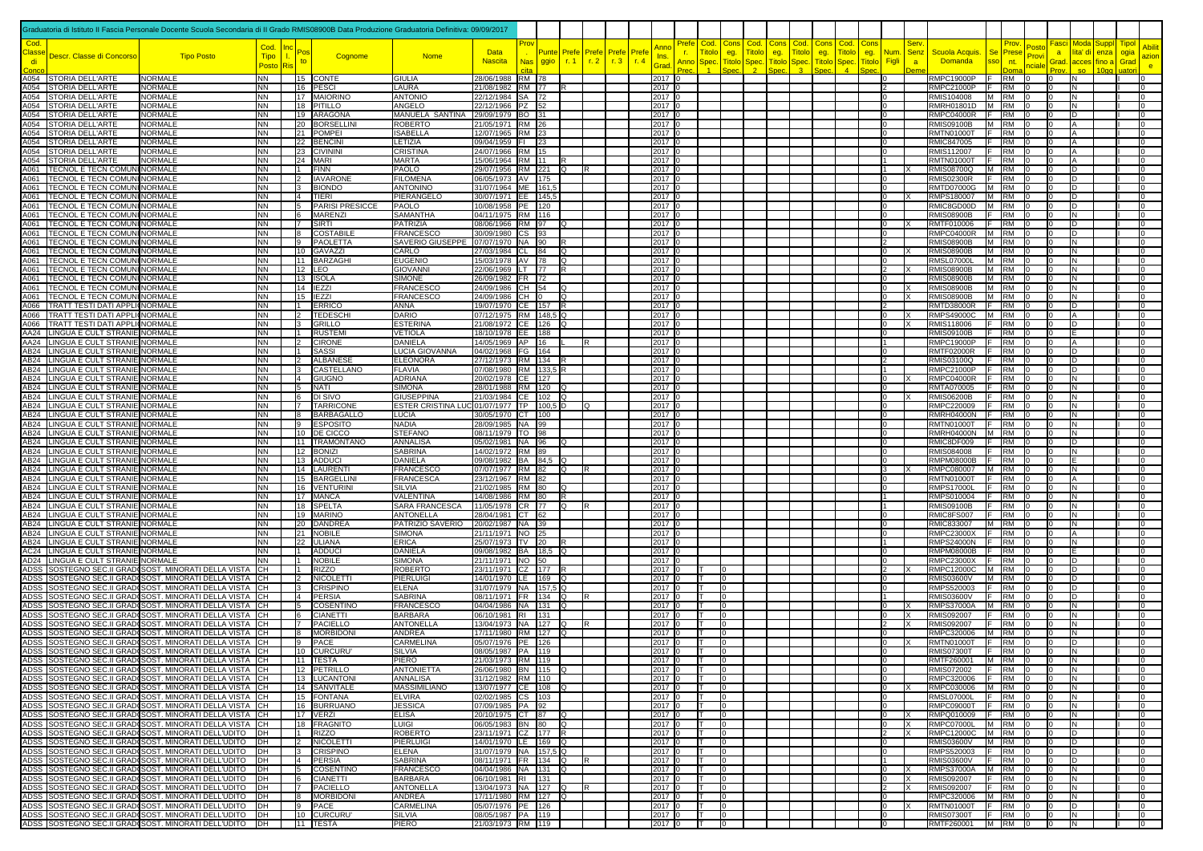|                          |                                                                                 | Graduatoria di Istituto II Fascia Personale Docente Scuola Secondaria di II Grado RMIS08900B Data Produzione Graduatoria Definitiva: 09/09/2017 |                        |                           |                                  |                                              |                                              |            |               |                |              |              |                      |                  |                                                             |                                               |                      |                      |              |                                              |                                  |                                                                 |                             |                       |                                              |                                |                 |
|--------------------------|---------------------------------------------------------------------------------|-------------------------------------------------------------------------------------------------------------------------------------------------|------------------------|---------------------------|----------------------------------|----------------------------------------------|----------------------------------------------|------------|---------------|----------------|--------------|--------------|----------------------|------------------|-------------------------------------------------------------|-----------------------------------------------|----------------------|----------------------|--------------|----------------------------------------------|----------------------------------|-----------------------------------------------------------------|-----------------------------|-----------------------|----------------------------------------------|--------------------------------|-----------------|
| Cod.                     |                                                                                 |                                                                                                                                                 | Cod.                   |                           |                                  |                                              |                                              |            |               |                |              |              | Anno                 |                  | <u>Prefe</u><br>Cod                                         | Cons<br>Cod.                                  | Cons                 | Cod.                 | <b>Cons</b>  | Cod.<br>Con                                  |                                  | <b>Serv</b>                                                     |                             | 'osti                 | -asci<br>Moda                                | <b>Tipol</b>                   |                 |
| <mark>:lass</mark><br>di | Descr. Classe di Concorso                                                       | <b>Tipo Posto</b>                                                                                                                               | <b>Tipo</b>            | to                        | Cognome                          | <b>Nome</b>                                  | <b>Data</b><br><b>Nascita</b>                | <b>Nas</b> | Punte<br>ggio | Prefe<br>r.1   | Prefe<br>r.2 | Prefe<br>r.3 | Pref∈<br>Ins.<br>r.4 |                  | <b>Fitolo</b><br><b>r.</b><br>Anno<br>$\operatorname{Spec}$ | <b>Fitolc</b><br>eg.<br><b>Titolc</b><br>Spec | eg.<br><b>Fitolc</b> | <b>Fitolo</b><br>pec | eg.<br>itolo | itok<br>eg.<br>$\operatorname{Spec}$<br>itok | Num<br>Figli                     | Scuola Acquis.<br><b>Senz</b><br><b>Domanda</b><br>$\mathbf{a}$ | Se<br>Prese<br>nt.          | Provi                 | lita' di<br>$\overline{a}$<br>Grad.<br>acces | enza<br>ogia<br>Grad<br>fino a | azior           |
|                          |                                                                                 |                                                                                                                                                 | <b>Posto</b>           |                           |                                  |                                              |                                              |            |               |                |              |              | Grad                 |                  |                                                             |                                               |                      |                      |              |                                              |                                  |                                                                 |                             |                       |                                              |                                | e.              |
|                          | 4054 STORIA DELL'ARTE<br><b>1054 STORIA DELL'ARTE</b>                           | <b>NORMALE</b><br>NORMALE                                                                                                                       | <b>NN</b><br><b>NN</b> |                           | 15 CONTE<br>16 PESCI             | <b>GIULIA</b><br>LAURA                       | 28/06/1988 RM 78<br>21/08/1982 RM 77         |            |               |                |              |              | 2017                 | 2017 0           |                                                             |                                               |                      |                      |              |                                              | $\overline{0}$<br>$\overline{2}$ | <b>RMPC19000P</b><br><b>RMPC21000P</b>                          | <b>RM</b><br><b>RM</b>      |                       | l0<br>ΙN<br>IN.<br>I٥                        |                                |                 |
|                          | 1054 STORIA DELL'ARTE                                                           | <b>NORMALE</b>                                                                                                                                  | NN                     |                           | 17 MAIORINO                      | <b>ANTONIO</b>                               | 22/12/1984 SA 72                             |            |               |                |              |              |                      | 2017 0           |                                                             |                                               |                      |                      |              |                                              | 10                               | RMIS104008                                                      | M RM                        |                       | IN.<br>In.                                   |                                |                 |
|                          | 4054 STORIA DELL'ARTE<br>4054 STORIA DELL'ARTE                                  | <b>NORMALE</b><br><b>NORMALE</b>                                                                                                                | <b>NN</b><br><b>NN</b> |                           | 18 PITILLO<br>19 ARAGONA         | ANGELO<br>MANUELA SANTINA                    | 22/12/1966 PZ 52<br>29/09/1979 BO 31         |            |               |                |              |              | 2017                 | 2017 0           |                                                             |                                               |                      |                      |              |                                              | ΙO<br>I0.                        | RMRH01801D   M   RM<br>RMPC04000R F RM                          |                             |                       | ΙN<br>I0.<br>ID                              |                                |                 |
|                          | 4054 STORIA DELL'ARTE                                                           | <b>NORMALE</b>                                                                                                                                  | <b>NN</b>              |                           | 20 BORSELLINI                    | ROBERTC                                      | 21/05/1971 RM 26                             |            |               |                |              |              | 2017                 |                  |                                                             |                                               |                      |                      |              |                                              | $\Omega$                         | <b>RMIS09100B</b>                                               | M RM                        |                       |                                              |                                |                 |
|                          | 4054 STORIA DELL'ARTE<br>4054 STORIA DELL'ARTE                                  | <b>NORMALE</b><br><b>NORMALE</b>                                                                                                                | <b>NN</b><br><b>NN</b> |                           | 21 POMPEI<br>22 BENCINI          | <b>ISABELLA</b><br>ETIZIA.                   | 12/07/1965 RM 23<br>09/04/1959 FI 23         |            |               |                |              |              | 2017<br>2017         |                  |                                                             |                                               |                      |                      |              |                                              | $\Omega$<br>I٥                   | RMTN01000T<br>RMIC847005                                        | <b>RM</b><br>E<br><b>RM</b> |                       | $\overline{a}$<br>IΑ                         |                                |                 |
|                          | 4054 STORIA DELL'ARTE                                                           | <b>NORMALE</b>                                                                                                                                  | <b>NN</b>              |                           | 23 CIVININI                      | CRISTINA                                     | 24/07/1966 RM 15                             |            |               |                |              |              | 2017                 |                  |                                                             |                                               |                      |                      |              |                                              | lo                               | RMIS112007                                                      | <b>RM</b>                   |                       | I٥<br>IA                                     |                                |                 |
|                          | 4054 STORIA DELL'ARTE                                                           | NORMALE                                                                                                                                         | <b>NN</b><br><b>NN</b> |                           | 24 MARI<br><b>FINN</b>           | <b>MARTA</b><br>PAOLO                        | 15/06/1964 RM 11                             |            |               |                |              |              | 2017                 |                  |                                                             |                                               |                      |                      |              |                                              | $\overline{1}$<br>$\mathbf{11}$  | <b>RMTN01000T</b>                                               | <b>RM</b><br>F.<br>M RM     |                       | ID                                           |                                |                 |
| 1061                     | 1061 TECNOL E TECN COMUNINORMALE<br><b>TECNOL E TECN COMUNINORMALE</b>          |                                                                                                                                                 | NN                     | 11<br>$ 2\rangle$         | <b>IAVARONE</b>                  | <b>FILOMENA</b>                              | 29/07/1956 RM 221 Q<br>06/05/1973 AV 175     |            |               |                |              |              | 2017<br>2017         |                  |                                                             |                                               |                      |                      |              |                                              | 0                                | <b>RMIS08700Q</b><br><b>RMIS02300R</b>                          | <b>RM</b><br>F.             |                       | In                                           |                                |                 |
|                          | 1061   TECNOL E TECN COMUNINORMALE                                              |                                                                                                                                                 | <b>NN</b>              | 13                        | <b>BIONDO</b>                    | <b>ANTONINO</b>                              | 31/07/1964 ME 161,5                          |            |               |                |              |              | 2017                 |                  |                                                             |                                               |                      |                      |              |                                              | 10                               | <b>RMTD07000G</b>                                               | M RM                        |                       | D                                            |                                |                 |
| ነ061<br>4061             | <b>TECNOL E TECN COMUNINORMALE</b><br><b>TECNOL E TECN COMUNINORMALE</b>        |                                                                                                                                                 | <b>NN</b><br><b>NN</b> | $\vert 4 \vert$<br>5      | TIERI<br><b>PARISI PRESICCE</b>  | PIERANGELO<br>PAOLO                          | 30/07/1971 EE 145,5<br>10/08/1958 PE 120     |            |               |                |              |              | 2017                 | 2017 0           |                                                             |                                               |                      |                      |              |                                              | 10<br>lo                         | RMPS180007<br>RMIC8GD00D                                        | M RM<br>M RM                |                       | D<br>ID<br>I٥                                |                                |                 |
| 4061                     | TECNOL E TECN COMUNINORMALE                                                     |                                                                                                                                                 | <b>NN</b>              | 16                        | <b>MARENZI</b>                   | SAMANTHA                                     | 04/11/1975 RM 116                            |            |               |                |              |              | 2017                 |                  |                                                             |                                               |                      |                      |              |                                              | lo                               | <b>RMIS08900B</b>                                               | <b>RM</b>                   |                       | lΝ                                           |                                |                 |
| 1061                     | 1061   TECNOL E TECN COMUNINORMALE<br><b>TECNOL E TECN COMUNINORMALE</b>        |                                                                                                                                                 | <b>NN</b><br>NN        | 17<br>l8                  | <b>SIRTI</b><br>COSTABILE        | PATRIZIA<br>FRANCESCO                        | 08/06/1966 RM 97<br>30/09/1980 CS 93         |            |               | IQ             |              |              | 2017                 | 2017 0           |                                                             |                                               |                      |                      |              |                                              | $\overline{0}$<br>$\Omega$       | RMTF010006<br><b>RMPC04000R</b>                                 | <b>RM</b><br>M RM           | -lo                   | D<br>I0.<br>ID<br>I٥                         |                                |                 |
| 4061                     | <b>TECNOL E TECN COMUNI NORMALE</b>                                             |                                                                                                                                                 | <b>NN</b>              | l 9                       | <b>PAOLETTA</b>                  | SAVERIO GIUSEPPE                             | 07/07/1970 NA 90                             |            |               |                |              |              | 2017                 |                  |                                                             |                                               |                      |                      |              |                                              | $\overline{2}$                   | <b>RMIS08900B</b>                                               | M RM                        |                       | l0<br>IN.                                    |                                |                 |
| 4061                     | <b>TECNOL E TECN COMUNI NORMALE</b>                                             |                                                                                                                                                 | NN                     |                           | 10 GAVAZZI                       | CARLO                                        | 27/03/1984 CL 84                             |            |               | IQ             |              |              |                      | 2017 (           |                                                             |                                               |                      |                      |              |                                              | 10                               | <b>RMIS08900B</b>                                               | M RM                        |                       | ΙN                                           |                                |                 |
|                          | 4061   TECNOL E TECN COMUNINORMALE<br>4061   TECNOL E TECN COMUNINORMALE        |                                                                                                                                                 | NN<br>NN               |                           | 11 BARZAGHI<br>$12$ LEO          | <b>EUGENIO</b><br><b>GIOVANN</b>             | 15/03/1978 AV 78<br>22/06/1969 LT 77         |            |               | IQ<br>IR.      |              |              | 2017                 | 2017 0           |                                                             |                                               |                      |                      |              |                                              | 10<br>$\overline{2}$             | <b>RMSL07000L</b><br><b>RMIS08900B</b>                          | M RM<br>M RM                |                       | IN<br>I٥<br>ΙN                               |                                |                 |
|                          | 4061   TECNOL E TECN COMUNINORMALE                                              |                                                                                                                                                 | <b>NN</b>              |                           | 13 ISOLA                         | SIMONE                                       | 26/09/1982 FR 72                             |            |               |                |              |              |                      | 2017 0           |                                                             |                                               |                      |                      |              |                                              | $\Omega$                         | <b>RMIS08900B</b>                                               | M RM                        |                       | IN.                                          |                                |                 |
|                          | 4061   TECNOL E TECN COMUNINORMALE<br>4061   TECNOL E TECN COMUNINORMALE        |                                                                                                                                                 | <b>NN</b><br><b>NN</b> |                           | 14 <b>IEZZI</b><br>15 IEZZI      | FRANCESCO<br>FRANCESCO                       | 24/09/1986 CH 54<br>24/09/1986 CH 0          |            |               | lQ<br><b>Q</b> |              |              | 2017                 | 2017 0           |                                                             |                                               |                      |                      |              |                                              | $\overline{0}$<br>$\overline{0}$ | <b>RMIS08900B</b><br>ΙX<br><b>RMIS08900B</b>                    | M RM 0<br>M RM              |                       | N<br>$\overline{a}$<br>lo<br>IN.             |                                |                 |
|                          | 1066   TRATT TESTI DATI APPLI(NORMALE                                           |                                                                                                                                                 | NN                     | 11                        | ERRICO                           | ANNA                                         | 19/07/1970 CE 157 R                          |            |               |                |              |              | 2017                 |                  |                                                             |                                               |                      |                      |              |                                              | $\vert$ 2                        | <b>RMTD38000R</b>                                               | IF RM                       |                       | ID.<br>I0.                                   |                                |                 |
| 8004                     | <b>TRATT TESTI DATI APPLI(NORMALE</b>                                           |                                                                                                                                                 | <b>NN</b>              |                           | <b>TEDESCH</b>                   | DARIO                                        | 07/12/1975 RM 148,5 Q                        |            |               |                |              |              | 2017                 |                  |                                                             |                                               |                      |                      |              |                                              | lo                               | <b>RMPS49000C</b><br>ΙX                                         | M RM                        |                       | IA                                           |                                |                 |
| 8004                     | <b>TRATT TESTI DATI APPLICNORMALE</b><br>AA24 LINGUA E CULT STRANIE NORMALE     |                                                                                                                                                 | <b>NN</b><br><b>NN</b> | 13<br>$\vert$ 1           | <b>GRILLO</b><br><b>RUSTEM</b>   | <b>ESTERINA</b><br><b>VETIOLA</b>            | 21/08/1972 CE 126 Q<br>18/10/1978   EE   188 |            |               |                |              |              | 2017  <br>2017       |                  |                                                             |                                               |                      |                      |              |                                              | 10<br>10                         | <b>RMIS118006</b><br>ΙX<br><b>RMIS09100B</b>                    | <b>RM</b><br><b>RM</b>      |                       | In<br>m                                      |                                |                 |
|                          | AA24 LINGUA E CULT STRANIE NORMALE                                              |                                                                                                                                                 | <b>NN</b>              | $\overline{2}$            | <b>CIRONE</b>                    | DANIELA                                      | 14/05/1969 AP 16                             |            |               |                |              |              | 2017                 |                  |                                                             |                                               |                      |                      |              |                                              | $\overline{11}$                  | <b>RMPC19000P</b>                                               | <b>RM</b>                   |                       |                                              |                                |                 |
|                          | AB24 LINGUA E CULT STRANIE NORMALE<br>AB24 LINGUA E CULT STRANIE NORMALE        |                                                                                                                                                 | <b>NN</b><br><b>NN</b> | $\mathsf{I}$<br>$\vert$ 2 | <b>SASSI</b><br>ALBANESE         | LUCIA GIOVANNA<br><b>ELEONORA</b>            | 04/02/1968   FG   164<br>27/12/1973 RM 134   |            |               |                |              |              | 2017                 | 2017 (           |                                                             |                                               |                      |                      |              |                                              | lo<br>$\mathsf{I}$               | RMTF02000R<br>RMIS03100Q                                        | <b>RM</b><br><b>RM</b>      |                       | ID<br>$\overline{a}$<br>In                   |                                |                 |
|                          | AB24 LINGUA E CULT STRANIE NORMALE                                              |                                                                                                                                                 | <b>NN</b>              | 13                        | CASTELLANO                       | <b>FLAVIA</b>                                | 07/08/1980 RM 133,5                          |            |               |                |              |              | 2017                 |                  |                                                             |                                               |                      |                      |              |                                              | $\overline{11}$                  | RMPC21000P                                                      | <b>RM</b>                   |                       | D<br>lo                                      |                                |                 |
|                          | AB24 LINGUA E CULT STRANIE NORMALE                                              |                                                                                                                                                 | <b>NN</b>              | $\vert 4 \vert$           | <b>GIUGNO</b>                    | <b>ADRIANA</b>                               | 20/02/1978 CE 127                            |            |               |                |              |              |                      | 2017 0           |                                                             |                                               |                      |                      |              |                                              | lo                               | <b>RMPC04000R</b>                                               | <b>RM</b>                   |                       | lo<br>IN.                                    |                                |                 |
|                          | AB24 LINGUA E CULT STRANIE NORMALE<br>B24 LINGUA E CULT STRANIE NORMALE         |                                                                                                                                                 | <b>NN</b><br><b>NN</b> | $\sqrt{5}$<br>$ 6\rangle$ | <b>NATI</b><br>DI SIVO           | <b>SIMONA</b><br><b>GIUSEPPINA</b>           | 28/01/1988 RM 120<br>21/03/1984 CE 102 Q     |            |               |                |              |              |                      | 2017 0<br>2017 0 |                                                             |                                               |                      |                      |              |                                              | I٥<br>10                         | RMTA070005<br><b>RMIS06200B</b>                                 | <b>RM</b><br><b>RM</b>      |                       | IN.<br>I٥<br>IN.                             |                                |                 |
|                          | AB24 LINGUA E CULT STRANIE NORMALE                                              |                                                                                                                                                 | <b>NN</b>              |                           | 7 TARRICONE                      | ESTER CRISTINA LUC 01/07/1977   TP   100,5 D |                                              |            |               |                | ıо           |              |                      | 2017 0           |                                                             |                                               |                      |                      |              |                                              | 10                               | RMPC220009                                                      | <b>RM</b>                   |                       | I0.<br>N                                     |                                |                 |
|                          | AB24 LINGUA E CULT STRANIE NORMALE<br>AB24 LINGUA E CULT STRANIE NORMALE        |                                                                                                                                                 | <b>NN</b>              | 8 <br><u>  9</u>          | <b>BARBAGALLO</b>                | LUCIA<br><b>NADIA</b>                        | 30/05/1970 CT 100                            |            |               |                |              |              | 2017                 | 2017 0           |                                                             |                                               |                      |                      |              |                                              | 10<br>lo                         | <b>RMRH04000N</b><br><b>RMTN01000T</b>                          | <b>RM</b>                   |                       | I٥<br>ΙN<br>I٥<br>IN.                        |                                |                 |
|                          | AB24 LINGUA E CULT STRANIE NORMALE                                              |                                                                                                                                                 | <b>NN</b><br><b>NN</b> |                           | ESPOSITO<br>10 DE CICCO          | <b>STEFANO</b>                               | 28/09/1985 NA 99<br>08/11/1979 TO 98         |            |               |                |              |              | 2017                 |                  |                                                             |                                               |                      |                      |              |                                              | l n                              | <b>RMRH04000N</b>                                               | <b>RM</b><br>M RM 0         |                       | lN.<br>I٥                                    |                                |                 |
|                          | AB24 LINGUA E CULT STRANIE NORMALE                                              |                                                                                                                                                 | <b>NN</b>              |                           | 11 TRAMONTANO                    | ANNALISA                                     | 05/02/1981 NA 96                             |            |               | lQ             |              |              | 2017                 |                  |                                                             |                                               |                      |                      |              |                                              | lo                               | RMIC8DF009                                                      | <b>RM</b>                   | ിറ                    | ID.<br>I0.                                   |                                |                 |
|                          | AB24 LINGUA E CULT STRANIE NORMALE<br>AB24  LINGUA E CULT STRANIE NORMALE       |                                                                                                                                                 | <b>NN</b><br>NN        |                           | 12 BONIZI<br>13 ADDUCI           | SABRINA<br>DANIELA                           | 14/02/1972 RM 89<br>09/08/1982 BA 84.5 Q     |            |               |                |              |              | 2017<br>2017         |                  |                                                             |                                               |                      |                      |              |                                              | lo<br>lo                         | RMIS084008<br><b>RMPM08000B</b>                                 | <b>RM</b><br><b>RM</b>      |                       | lo<br>IN.<br>I٥                              |                                |                 |
|                          | AB24 LINGUA E CULT STRANIE NORMALE                                              |                                                                                                                                                 | <b>NN</b>              | 14 <sup>1</sup>           | LAURENTI                         | <b>FRANCESCO</b>                             | 07/07/1977 RM 82                             |            |               | lQ.            |              |              | 2017                 |                  |                                                             |                                               |                      |                      |              |                                              | 3                                | RMPC080007                                                      | M RM                        |                       | lΝ<br>I٥                                     |                                |                 |
|                          | AB24 LINGUA E CULT STRANIE NORMALE<br>AB24   LINGUA E CULT STRANIE NORMALE      |                                                                                                                                                 | <b>NN</b><br><b>NN</b> |                           | 15 BARGELLIN<br>16 VENTURINI     | <b>FRANCESCA</b><br><b>SILVIA</b>            | 23/12/1967 RM 82<br>21/02/1985 RM 80         |            |               | ıο             |              |              | 2017  <br>2017       |                  |                                                             |                                               |                      |                      |              |                                              | 10<br>10                         | <b>RMTN01000T</b><br><b>RMPS17000L</b>                          | <b>RM</b><br><b>RM</b>      |                       | ΙA<br>ΙN                                     |                                |                 |
|                          | AB24 LINGUA E CULT STRANIE NORMALE                                              |                                                                                                                                                 | <b>NN</b>              |                           | 17 MANCA                         | VALENTINA                                    | 14/08/1986 RM 80                             |            |               | R              |              |              | 2017                 |                  |                                                             |                                               |                      |                      |              |                                              | 11                               | RMPS010004                                                      | <b>RM</b>                   |                       | ΙN                                           |                                |                 |
|                          | AB24 LINGUA E CULT STRANIE NORMALE                                              |                                                                                                                                                 | <b>NN</b>              |                           | 18 SPELTA                        | SARA FRANCESCA                               | 11/05/1978 CR 77                             |            |               | lQ             |              |              | 2017                 |                  |                                                             |                                               |                      |                      |              |                                              | 11                               | <b>RMIS09100B</b>                                               | <b>RM</b>                   |                       | lΝ                                           |                                |                 |
|                          | AB24 LINGUA E CULT STRANIE NORMALE<br>AB24 LINGUA E CULT STRANIE NORMALE        |                                                                                                                                                 | <b>NN</b><br>ΝN        | 20                        | 19 MARINO<br>)ANDREA             | ANTONELLA<br>PATRIZIO SAVERIO                | 28/04/1981 CT 62<br>20/02/1987   NA   39     |            |               |                |              |              | 2017                 | 2017 0           |                                                             |                                               |                      |                      |              |                                              | lo<br>I٥                         | RMIC8FS007<br>RMIC833007                                        | <b>RM</b><br>M RM           |                       | $\overline{a}$<br>IN.<br>I٥<br>IN.           |                                |                 |
|                          | <b>AB24 LINGUA E CULT STRANIE NORMALE</b>                                       |                                                                                                                                                 | <b>NN</b>              | 21                        | <b>JOBILE</b>                    | SIMONA                                       | 21/11/1971   NO 25                           |            |               |                |              |              | 2017                 |                  |                                                             |                                               |                      |                      |              |                                              | I٥                               | <b>RMPC23000X</b>                                               | <b>RM</b>                   |                       | I٥                                           |                                |                 |
|                          | AB24 LINGUA E CULT STRANIE NORMALE<br><b>AC24 LINGUA E CULT STRANIE NORMALE</b> |                                                                                                                                                 | <b>NN</b>              | 22                        | <b>JLIANA</b><br>ADDUCI          | ERICA<br>DANIELA                             | 25/07/1973 TV 20                             |            |               |                |              |              | 2017                 |                  |                                                             |                                               |                      |                      |              |                                              | l0                               | <b>RMPS24000N</b><br><b>RMPM08000B</b>                          | <b>RM</b><br><b>RM</b>      |                       | lΝ                                           |                                |                 |
|                          | AD24 LINGUA E CULT STRANIE NORMALE                                              |                                                                                                                                                 | NN<br>NN               | 11                        | <b>NOBILE</b>                    | <b>SIMONA</b>                                | 09/08/1982 BA 18,5 Q<br>21/11/1971   NO   50 |            |               |                |              |              | 2017                 | 2017 0           |                                                             |                                               |                      |                      |              |                                              | 10                               | <b>RMPC23000X</b>                                               | <b>RM</b>                   |                       | D                                            |                                |                 |
|                          |                                                                                 | ADSS SOSTEGNO SEC.II GRAD(SOST. MINORATI DELLA VISTA                                                                                            | IСH                    |                           | RIZZO                            | ROBERTC                                      | 23/11/1971 CZ 177                            |            |               |                |              |              |                      | 2017 (           |                                                             |                                               |                      |                      |              |                                              | 12                               | RMPC12000C                                                      | <b>RM</b><br>IM.            |                       | D                                            |                                |                 |
|                          |                                                                                 | ADSS  SOSTEGNO SEC.II GRAD(SOST. MINORATI DELLA VISTA    CH<br>ADSS SOSTEGNO SEC.II GRAD(SOST. MINORATI DELLA VISTA CH                          |                        |                           | NICOLETTI<br>CRISPINO            | PIERLUIGI<br>ELENA                           | 14/01/1970 LE 169 Q<br>31/07/1979 NA 157,5 Q |            |               |                |              |              | 2017                 | 2017 (           |                                                             |                                               |                      |                      |              |                                              | lo<br>l0                         | <b>RMIS03600V</b><br>RMPS520003                                 | M RM<br><b>RM</b>           |                       | ID<br>I٥<br>ID                               |                                |                 |
|                          |                                                                                 | ADSS SOSTEGNO SEC.II GRAD(SOST. MINORATI DELLA VISTA CH                                                                                         |                        | $\vert$ 4                 | PERSIA                           | <b>SABRINA</b>                               | 08/11/1971 FR 134 Q                          |            |               |                | IR.          |              |                      | 2017 0           |                                                             |                                               |                      |                      |              |                                              | 1                                | <b>RMIS03600V</b>                                               | <b>RM</b>                   | ിറ                    | ID.<br>I0.                                   |                                |                 |
|                          |                                                                                 | ADSS SOSTEGNO SEC.II GRAD(SOST. MINORATI DELLA VISTA<br>ADSS  SOSTEGNO SEC.II GRAD(SOST. MINORATI DELLA VISTA    CH                             | ICH .                  | 5<br>16                   | COSENTINC<br><b>CIANETTI</b>     | FRANCESCO<br><b>BARBARA</b>                  | 04/04/1986 NA 131<br>06/10/1981 RI 131       |            |               | ΙO             |              |              | 2017                 | 2017 0           |                                                             |                                               |                      |                      |              |                                              | lo<br>$\overline{0}$             | <b>RMPS37000A</b><br>Ιx<br><b>RMIS092007</b>                    | M RM<br><b>RM</b>           |                       | IN.<br>I٥<br>IN.<br>I0.                      |                                |                 |
|                          |                                                                                 | ADSS SOSTEGNO SEC.II GRAD(SOST. MINORATI DELLA VISTA CH                                                                                         |                        | 17                        | PACIELLO                         | <b>ANTONELLA</b>                             | 13/04/1973 NA 127                            |            |               | ıο             |              |              | 2017                 |                  |                                                             |                                               |                      |                      |              |                                              | 12                               | <b>RMIS092007</b><br>ΙX                                         | <b>RM</b>                   |                       | ΙN                                           |                                |                 |
|                          |                                                                                 | ADSS  SOSTEGNO SEC.II GRAD(SOST. MINORATI DELLA VISTA                                                                                           | IСH                    | 18                        | <b>MORBIDONI</b>                 | ANDREA                                       | 17/11/1980 RM 127                            |            |               | ഥ              |              |              | 2017                 |                  |                                                             |                                               |                      |                      |              |                                              | 10                               | RMPC320006                                                      | M RM                        |                       | IN<br>In.                                    |                                |                 |
|                          |                                                                                 | ADSS  SOSTEGNO SEC.II GRAD(SOST. MINORATI DELLA VISTA    CH<br>ADSS SOSTEGNO SEC.II GRAD(SOST. MINORATI DELLA VISTA CH                          |                        | <u>9</u>                  | PACE<br>10 CURCURU               | CARMELINA<br><b>SILVIA</b>                   | 05/07/1976 PE 126<br>08/05/1987   PA   119   |            |               |                |              |              | 2017                 | 2017 0           |                                                             |                                               |                      |                      |              |                                              | I0.<br>$\overline{0}$            | <b>RMTN01000T</b><br><b>RMIS07300T</b>                          | IF RM<br>$F$ RM $0$         |                       | I٥<br>ID<br>l0<br>N                          |                                |                 |
|                          |                                                                                 | DSS  SOSTEGNO SEC.II GRAD(SOST. MINORATI DELLA VISTA   İCH                                                                                      |                        |                           | 11 TESTA                         | PIERO                                        | 21/03/1973 RM 119                            |            |               |                |              |              | $2017 -$             |                  |                                                             |                                               |                      |                      |              |                                              |                                  | RMTE260001 M RM 0                                               |                             |                       |                                              |                                |                 |
|                          |                                                                                 | ADSS SOSTEGNO SEC.II GRAD(SOST. MINORATI DELLA VISTA                                                                                            | CH<br><b>CH</b>        |                           | 12 PETRILLO<br>13 LUCANTONI      | <b>ANTONIETTA</b><br>ANNALISA                | 26/06/1980 BN 115<br>31/12/1982 RM 110       |            |               |                |              |              |                      | 2017 0<br>2017 0 |                                                             |                                               |                      |                      |              |                                              | 10<br>lo                         | <b>RMIS072002</b><br>RMPC320006                                 | <b>RM</b><br>IF RM          | 10<br>$\overline{10}$ | l0<br>IN.<br>$\overline{0}$<br>IN.           |                                | I٥              |
|                          |                                                                                 | ADSS SOSTEGNO SEC.II GRAD(SOST. MINORATI DELLA VISTA<br>ADSS SOSTEGNO SEC.II GRAD(SOST. MINORATI DELLA VISTA CH                                 |                        |                           | 14 SANVITALE                     | <b>MASSIMILIANO</b>                          | 13/07/1977 CE 108                            |            |               |                |              |              | 2017                 |                  |                                                             |                                               |                      |                      |              |                                              | l <sub>0</sub>                   | RMPC030006                                                      | M RM                        |                       | IN.<br>l0                                    |                                |                 |
|                          |                                                                                 | ADSS SOSTEGNO SEC.II GRAD(SOST. MINORATI DELLA VISTA CH                                                                                         |                        |                           | 15 FONTANA                       | <b>ELVIRA</b>                                | 02/02/1985 CS 103                            |            |               |                |              |              |                      | 2017 0           |                                                             |                                               |                      |                      |              |                                              | 10                               | <b>RMSL07000L</b>                                               | F RM                        |                       | IN.<br>$\overline{a}$                        |                                |                 |
|                          |                                                                                 | ADSS SOSTEGNO SEC.II GRAD(SOST. MINORATI DELLA VISTA CH<br>ADSS SOSTEGNO SEC.II GRAD(SOST. MINORATI DELLA VISTA CH                              |                        |                           | 16 BURRUANO<br>17 VERZI          | <b>JESSICA</b><br>ELISA                      | 07/09/1985 PA 92<br>20/10/1975 CT 87         |            |               | lO.            |              |              | 2017                 | 2017 0           |                                                             |                                               |                      |                      |              |                                              | ΙO<br>I0.                        | <b>RMPC09000T</b><br>RMPQ010009<br>ΙX                           | <b>RM</b><br>F RM           |                       | N<br>IN.<br>I٥                               |                                |                 |
|                          |                                                                                 | ADSS SOSTEGNO SEC.II GRAD(SOST. MINORATI DELLA VISTA CH                                                                                         |                        |                           | 18 FRAGNITO                      | LUIGI                                        | 06/05/1983 BN 80 Q                           |            |               |                |              |              |                      | 2017 0           |                                                             |                                               |                      |                      |              |                                              | $\overline{a}$                   | <b>RMPC07000L</b><br>Ιx                                         | M RM 0                      |                       | IN.                                          |                                |                 |
|                          |                                                                                 | ADSS SOSTEGNO SEC.II GRAD(SOST. MINORATI DELL'UDITO<br>ADSS SOSTEGNO SEC.II GRAD(SOST. MINORATI DELL'UDITO                                      | DH<br>DH               | $\vert$ 1                 | <b>RIZZO</b><br><b>NICOLETTI</b> | <b>ROBERTO</b><br>PIERLUIGI                  | 23/11/1971 CZ 177 R<br>14/01/1970 LE 169 Q   |            |               |                |              |              | 2017                 | 2017 0           |                                                             |                                               |                      |                      |              |                                              | $\vert$ 2<br>I٥                  | $\times$<br>RMPC12000C<br><b>RMIS03600V</b>                     | M RM 0<br>M RM 0            |                       | ID.<br>l0<br>$\overline{0}$<br>D             |                                |                 |
|                          |                                                                                 | ADSS SOSTEGNO SEC.II GRAD(SOST. MINORATI DELL'UDITO                                                                                             | DH                     | 13                        | <b>CRISPINO</b>                  | <b>ELENA</b>                                 | 31/07/1979 NA 157,5 Q                        |            |               |                |              |              | 2017                 |                  |                                                             |                                               |                      |                      |              |                                              | $\overline{0}$                   | RMPS520003                                                      | $F$ RM 0                    |                       | $ 0\rangle$<br>D                             |                                |                 |
|                          |                                                                                 | ADSS SOSTEGNO SEC.II GRAD(SOST. MINORATI DELL'UDITO                                                                                             | <b>IDH</b>             | 4                         | PERSIA                           | <b>SABRINA</b>                               | 08/11/1971 FR 134 Q                          |            |               |                | IR.          |              | 2017                 |                  |                                                             |                                               |                      |                      |              |                                              | 11                               | <b>RMIS03600V</b>                                               | $RM$ 0                      |                       | $\overline{0}$<br>ID.                        |                                |                 |
|                          |                                                                                 | ADSS SOSTEGNO SEC.II GRAD(SOST. MINORATI DELL'UDITO<br>ADSS SOSTEGNO SEC.II GRAD(SOST. MINORATI DELL'UDITO                                      | DH<br><b>IDH</b>       | 15<br>16                  | COSENTINO<br><b>CIANETTI</b>     | <b>FRANCESCO</b><br><b>BARBARA</b>           | 04/04/1986 NA 131 Q<br>06/10/1981 RI 131     |            |               |                |              |              | 2017                 | 2017 0           |                                                             |                                               |                      |                      |              |                                              | $\overline{0}$<br>10             | <b>RMPS37000A</b><br>IΧ<br>RMIS092007<br>X                      | M RM<br><b>RM</b><br>F.     |                       | l0<br>IN.<br>N<br>I٥                         |                                |                 |
|                          |                                                                                 | ADSS SOSTEGNO SEC.II GRAD(SOST. MINORATI DELL'UDITO DH                                                                                          |                        | $\vert 7 \vert$           | <b>PACIELLO</b>                  | <b>ANTONELLA</b>                             | 13/04/1973 NA 127 Q                          |            |               |                | IR.          |              |                      | 2017 0           |                                                             |                                               |                      |                      |              |                                              | <b>2</b>                         | RMIS092007<br>X                                                 | F RM                        |                       | N<br>I٥                                      |                                | 0               |
|                          |                                                                                 | ADSS  SOSTEGNO SEC.II GRAD(SOST. MINORATI DELL'UDITO<br>ADSS SOSTEGNO SEC.II GRAD(SOST. MINORATI DELL'UDITO                                     | <b>IDH</b><br>DH       | 8 <br><u> 9</u>           | <b>MORBIDONI</b><br>PACE         | ANDREA<br>CARMELINA                          | 17/11/1980 RM 127<br>05/07/1976 PE 126       |            |               | IQ.            |              |              | 2017                 | 2017 0           |                                                             |                                               |                      |                      |              |                                              | $\overline{0}$<br>$ 0\rangle$    | RMPC320006<br>X<br><b>RMTN01000T</b>                            | M RM<br>$F$ RM 0            |                       | I٥<br>N<br>$\overline{0}$<br>ID.             |                                | $\Omega$<br>lo. |
|                          |                                                                                 | ADSS SOSTEGNO SEC.II GRAD(SOST. MINORATI DELL'UDITO                                                                                             | <b>DH</b>              |                           | 10 CURCURU                       | <b>SILVIA</b>                                | 08/05/1987 PA 119                            |            |               |                |              |              | 2017                 |                  |                                                             |                                               |                      |                      |              |                                              | $\overline{0}$                   | <b>RMIS07300T</b>                                               | $F$ RM 0                    |                       | N<br>l0                                      |                                | I٥              |
|                          |                                                                                 | ADSS SOSTEGNO SEC.II GRAD(SOST. MINORATI DELL'UDITO DH                                                                                          |                        |                           | $11$ TESTA                       | PIERO                                        | 21/03/1973 RM 119                            |            |               |                |              |              | 2017 0               |                  | IT                                                          | $\overline{0}$                                |                      |                      |              |                                              | $\overline{0}$                   | RMTF260001 M RM 0                                               |                             |                       | $\overline{\phantom{0}}$<br>N                |                                | $\overline{0}$  |